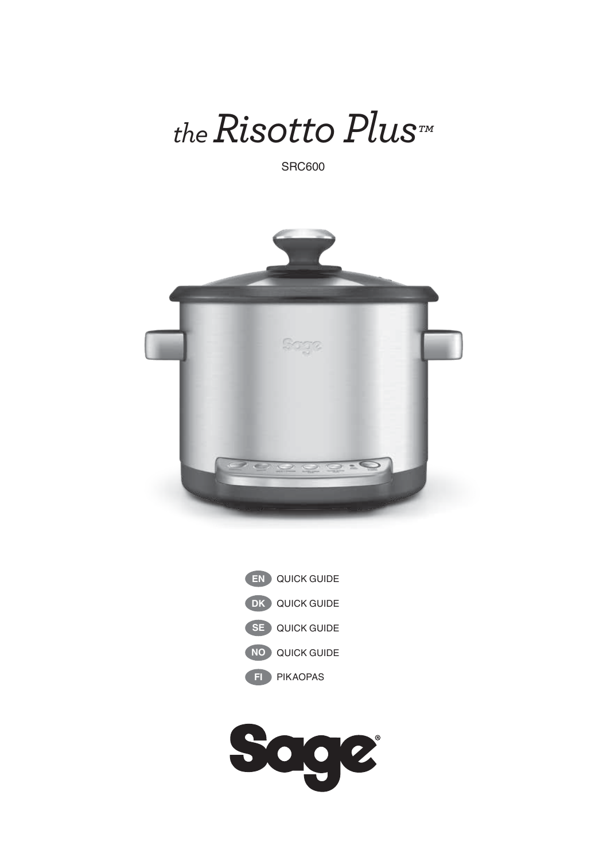

SRC600





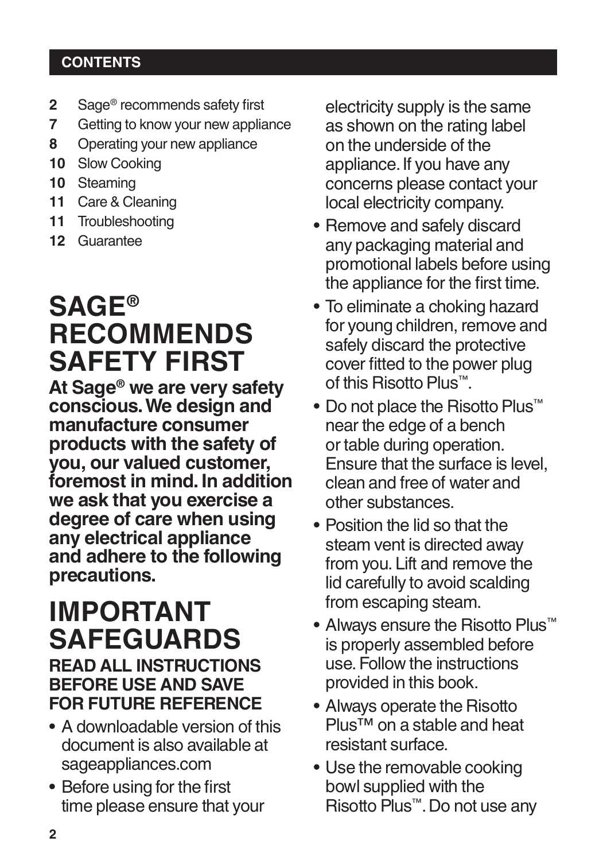### **CONTENTS**

- **2** Sage<sup>®</sup> recommends safety first<br>**7** Getting to know your new applis
- **7** Getting to know your new appliance
- **8** Operating your new appliance
- **10** Slow Cooking
- **10** Steaming
- **11** Care & Cleaning
- **11** Troubleshooting
- **12** Guarantee

# **SAGE® RECOMMENDS SAFETY FIRST**

**At Sage® we are very safety conscious. We design and manufacture consumer products with the safety of you, our valued customer, foremost in mind. In addition we ask that you exercise a degree of care when using any electrical appliance and adhere to the following precautions.**

# **IMPORTANT SAFEGUARDS READ ALL INSTRUCTIONS BEFORE USE AND SAVE FOR FUTURE REFERENCE**

- A downloadable version of this document is also available at sageappliances.com
- Before using for the first time please ensure that your

electricity supply is the same as shown on the rating label on the underside of the appliance. If you have any concerns please contact your local electricity company.

- Remove and safely discard any packaging material and promotional labels before using the appliance for the first time.
- To eliminate a choking hazard for young children, remove and safely discard the protective cover fitted to the power plug of this Risotto Plus™.
- Do not place the Risotto Plus™ near the edge of a bench or table during operation. Ensure that the surface is level, clean and free of water and other substances.
- Position the lid so that the steam vent is directed away from you. Lift and remove the lid carefully to avoid scalding from escaping steam.
- Always ensure the Risotto Plus™ is properly assembled before use. Follow the instructions provided in this book.
- Always operate the Risotto Plus™ on a stable and heat resistant surface.
- Use the removable cooking bowl supplied with the Risotto Plus™. Do not use any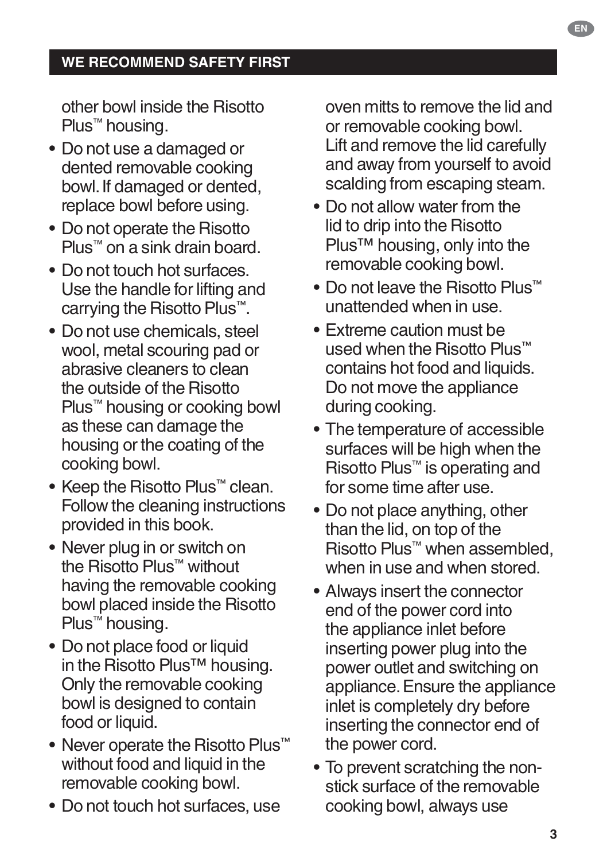### **WE RECOMMEND SAFETY FIRST**

other bowl inside the Risotto Plus™ housing.

- Do not use a damaged or dented removable cooking bowl. If damaged or dented, replace bowl before using.
- Do not operate the Risotto Plus™ on a sink drain board.
- Do not touch hot surfaces. Use the handle for lifting and carrying the Risotto Plus™.
- Do not use chemicals, steel wool, metal scouring pad or abrasive cleaners to clean the outside of the Risotto Plus<sup>™</sup> housing or cooking bowl as these can damage the housing or the coating of the cooking bowl.
- Keep the Risotto Plus™ clean. Follow the cleaning instructions provided in this book.
- Never plug in or switch on the Risotto Plus™ without having the removable cooking bowl placed inside the Risotto Plus™ housing.
- Do not place food or liquid in the Risotto Plus™ housing. Only the removable cooking bowl is designed to contain food or liquid.
- Never operate the Risotto Plus™ without food and liquid in the removable cooking bowl.
- Do not touch hot surfaces, use

oven mitts to remove the lid and or removable cooking bowl. Lift and remove the lid carefully and away from yourself to avoid scalding from escaping steam.

- Do not allow water from the lid to drip into the Risotto Plus™ housing, only into the removable cooking bowl.
- Do not leave the Risotto Plus™ unattended when in use.
- Extreme caution must be used when the Risotto Plus™ contains hot food and liquids. Do not move the appliance during cooking.
- The temperature of accessible surfaces will be high when the Risotto Plus™ is operating and for some time after use.
- Do not place anything, other than the lid, on top of the Risotto Plus™ when assembled, when in use and when stored.
- Always insert the connector end of the power cord into the appliance inlet before inserting power plug into the power outlet and switching on appliance. Ensure the appliance inlet is completely dry before inserting the connector end of the power cord.
- To prevent scratching the nonstick surface of the removable cooking bowl, always use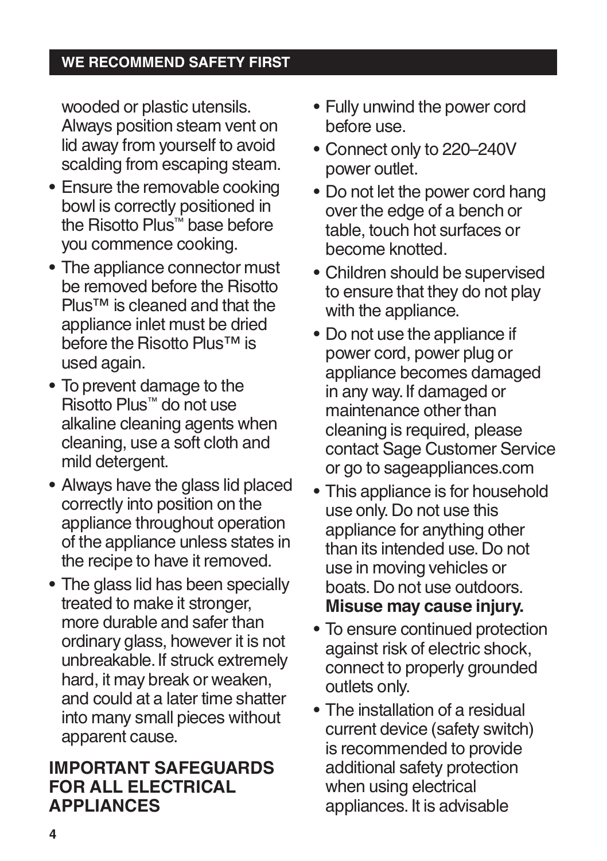### **WE RECOMMEND SAFETY FIRST**

wooded or plastic utensils. Always position steam vent on lid away from yourself to avoid scalding from escaping steam.

- Ensure the removable cooking bowl is correctly positioned in the Risotto Plus™ base before you commence cooking.
- The appliance connector must be removed before the Risotto Plus™ is cleaned and that the appliance inlet must be dried before the Risotto Plus™ is used again.
- To prevent damage to the Risotto Plus™ do not use alkaline cleaning agents when cleaning, use a soft cloth and mild detergent.
- Always have the glass lid placed correctly into position on the appliance throughout operation of the appliance unless states in the recipe to have it removed.
- The glass lid has been specially treated to make it stronger. more durable and safer than ordinary glass, however it is not unbreakable. If struck extremely hard, it may break or weaken, and could at a later time shatter into many small pieces without apparent cause.

# **IMPORTANT SAFEGUARDS FOR ALL ELECTRICAL APPLIANCES**

- Fully unwind the power cord before use.
- Connect only to 220–240V power outlet.
- Do not let the power cord hang over the edge of a bench or table, touch hot surfaces or become knotted.
- Children should be supervised to ensure that they do not play with the appliance.
- Do not use the appliance if power cord, power plug or appliance becomes damaged in any way. If damaged or maintenance other than cleaning is required, please contact Sage Customer Service or go to sageappliances.com
- This appliance is for household use only. Do not use this appliance for anything other than its intended use. Do not use in moving vehicles or boats. Do not use outdoors. **Misuse may cause injury.**
- To ensure continued protection against risk of electric shock, connect to properly grounded outlets only.
- The installation of a residual current device (safety switch) is recommended to provide additional safety protection when using electrical appliances. It is advisable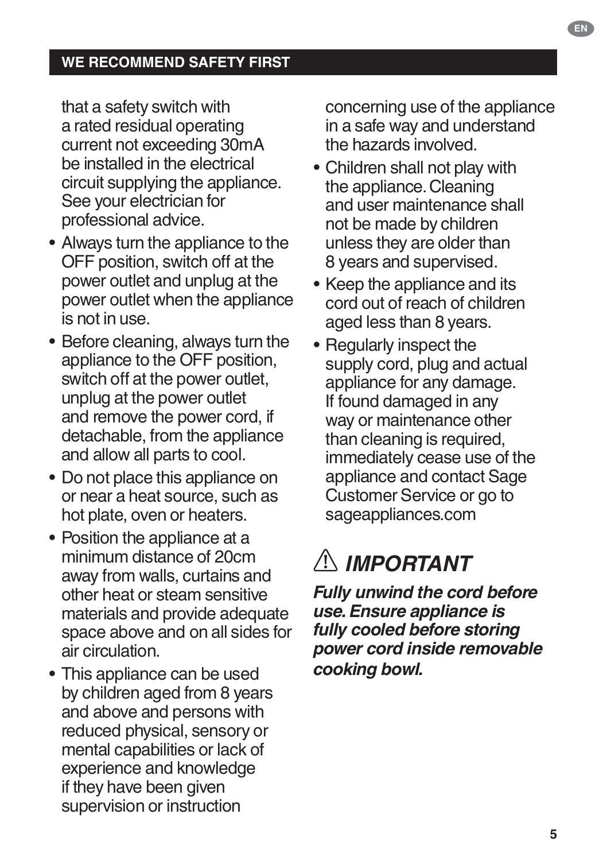that a safety switch with a rated residual operating current not exceeding 30mA be installed in the electrical circuit supplying the appliance. See your electrician for professional advice.

- Always turn the appliance to the OFF position, switch off at the power outlet and unplug at the power outlet when the appliance is not in use.
- Before cleaning, always turn the appliance to the OFF position, switch off at the power outlet, unplug at the power outlet and remove the power cord, if detachable, from the appliance and allow all parts to cool.
- Do not place this appliance on or near a heat source, such as hot plate, oven or heaters.
- Position the appliance at a minimum distance of 20cm away from walls, curtains and other heat or steam sensitive materials and provide adequate space above and on all sides for air circulation.
- This appliance can be used by children aged from 8 years and above and persons with reduced physical, sensory or mental capabilities or lack of experience and knowledge if they have been given supervision or instruction

concerning use of the appliance in a safe way and understand the hazards involved.

- Children shall not play with the appliance. Cleaning and user maintenance shall not be made by children unless they are older than 8 years and supervised.
- Keep the appliance and its cord out of reach of children aged less than 8 years.
- Regularly inspect the supply cord, plug and actual appliance for any damage. If found damaged in any way or maintenance other than cleaning is required, immediately cease use of the appliance and contact Sage Customer Service or go to sageappliances.com

# *IMPORTANT*

*Fully unwind the cord before use. Ensure appliance is fully cooled before storing power cord inside removable cooking bowl.*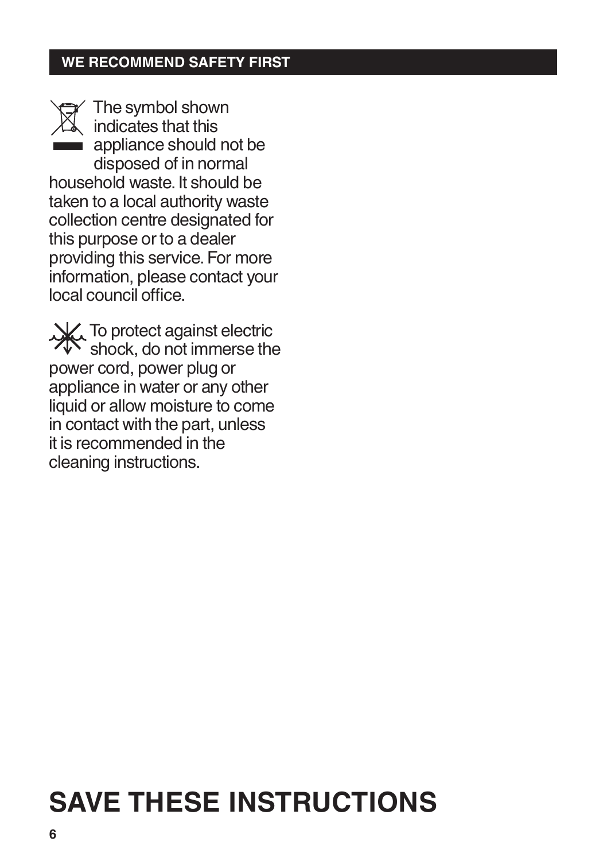### **WE RECOMMEND SAFETY FIRST**



The symbol shown indicates that this appliance should not be disposed of in normal household waste. It should be taken to a local authority waste collection centre designated for this purpose or to a dealer providing this service. For more information, please contact your local council office.

**X** To protect against electric  $\mathcal{F}$  shock, do not immerse the power cord, power plug or appliance in water or any other liquid or allow moisture to come in contact with the part, unless it is recommended in the cleaning instructions.

# **SAVE THESE INSTRUCTIONS**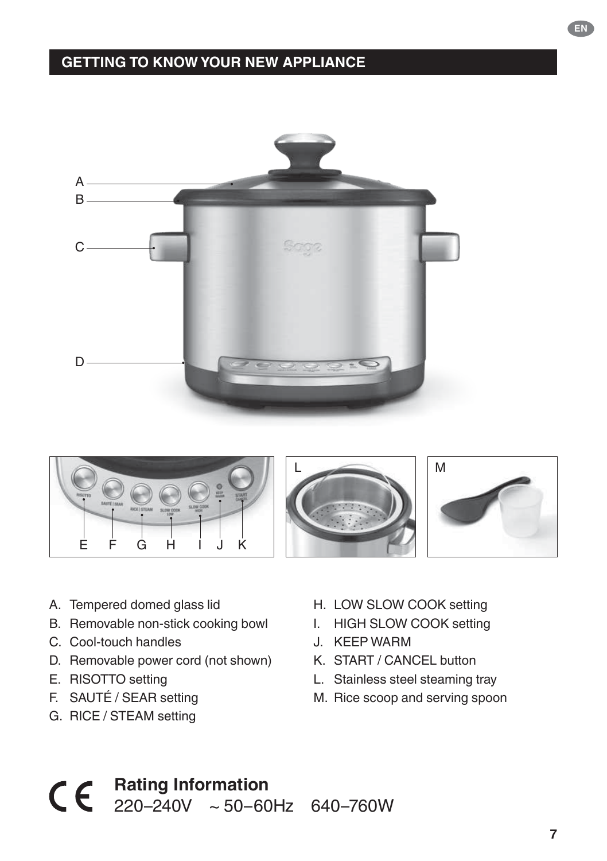### **GETTING TO KNOW YOUR NEW APPLIANCE**





- A. Tempered domed glass lid
- B. Removable non-stick cooking bowl
- C. Cool-touch handles
- D. Removable power cord (not shown)
- E. RISOTTO setting
- F. SAUTÉ / SEAR setting
- G. RICE / STEAM setting
- H. LOW SLOW COOK setting
- I. HIGH SLOW COOK setting
- J. KEEP WARM
- K. START / CANCEL button
- L. Stainless steel steaming tray
- M. Rice scoop and serving spoon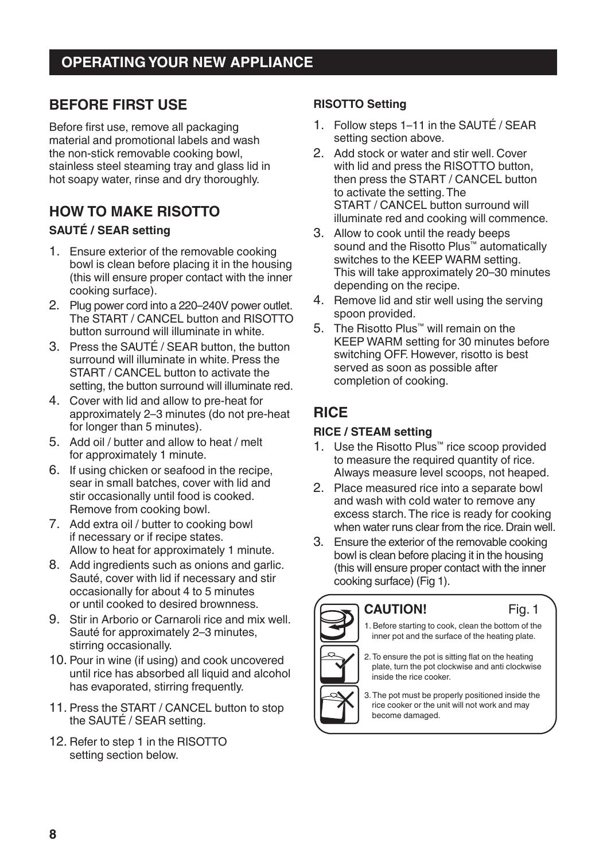### **BEFORE FIRST USE**

Before first use, remove all packaging material and promotional labels and wash the non-stick removable cooking bowl, stainless steel steaming tray and glass lid in hot soapy water, rinse and dry thoroughly.

#### **HOW TO MAKE RISOTTO SAUTÉ / SEAR setting**

- 1. Ensure exterior of the removable cooking bowl is clean before placing it in the housing (this will ensure proper contact with the inner cooking surface).
- 2. Plug power cord into a 220–240V power outlet. The START / CANCEL button and RISOTTO button surround will illuminate in white.
- 3. Press the SAUTÉ / SEAR button, the button surround will illuminate in white. Press the START / CANCEL button to activate the setting, the button surround will illuminate red.
- 4. Cover with lid and allow to pre-heat for approximately 2–3 minutes (do not pre-heat for longer than 5 minutes).
- 5. Add oil / butter and allow to heat / melt for approximately 1 minute.
- 6. If using chicken or seafood in the recipe, sear in small batches, cover with lid and stir occasionally until food is cooked. Remove from cooking bowl.
- 7. Add extra oil / butter to cooking bowl if necessary or if recipe states. Allow to heat for approximately 1 minute.
- 8. Add ingredients such as onions and garlic. Sauté, cover with lid if necessary and stir occasionally for about 4 to 5 minutes or until cooked to desired brownness.
- 9. Stir in Arborio or Carnaroli rice and mix well. Sauté for approximately 2–3 minutes, stirring occasionally.
- 10. Pour in wine (if using) and cook uncovered until rice has absorbed all liquid and alcohol has evaporated, stirring frequently.
- 11. Press the START / CANCEL button to stop the SAUTÉ / SEAR setting.
- 12. Refer to step 1 in the RISOTTO setting section below.

#### **RISOTTO Setting**

- 1. Follow steps 1–11 in the SAUTÉ / SEAR setting section above.
- 2. Add stock or water and stir well. Cover with lid and press the RISOTTO button. then press the START / CANCEL button to activate the setting. The START / CANCEL button surround will illuminate red and cooking will commence.
- 3. Allow to cook until the ready beeps sound and the Risotto Plus™ automatically switches to the KEEP WARM setting. This will take approximately 20–30 minutes depending on the recipe.
- 4. Remove lid and stir well using the serving spoon provided.
- 5. The Risotto Plus™ will remain on the KEEP WARM setting for 30 minutes before switching OFF. However, risotto is best served as soon as possible after completion of cooking.

# **RICE**

#### **RICE / STEAM setting**

- 1. Use the Risotto Plus™ rice scoop provided to measure the required quantity of rice. Always measure level scoops, not heaped.
- 2. Place measured rice into a separate bowl and wash with cold water to remove any excess starch. The rice is ready for cooking when water runs clear from the rice. Drain well.
- 3. Ensure the exterior of the removable cooking bowl is clean before placing it in the housing (this will ensure proper contact with the inner cooking surface) (Fig 1).



#### **CAUTION!**

1. Before starting to cook, clean the bottom of the inner pot and the surface of the heating plate.

Fig. 1

2. To ensure the pot is sitting flat on the heating plate, turn the pot clockwise and anti clockwise inside the rice cooker.

3. The pot must be properly positioned inside the rice cooker or the unit will not work and may become damaged.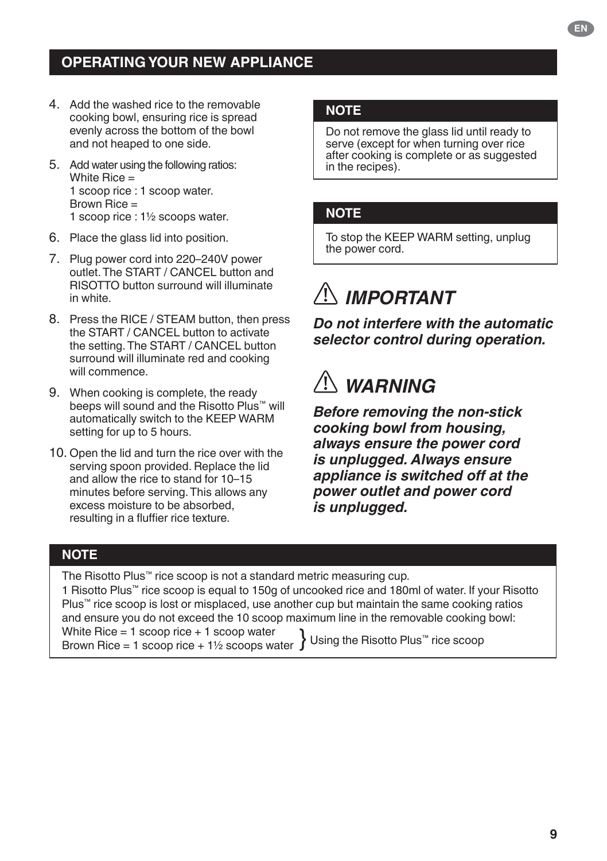### **OPERATING YOUR NEW APPLIANCE**

- 4. Add the washed rice to the removable cooking bowl, ensuring rice is spread evenly across the bottom of the bowl and not heaped to one side.
- 5. Add water using the following ratios: White Rice = 1 scoop rice : 1 scoop water. Brown Rice = 1 scoop rice : 1½ scoops water.
- 6. Place the glass lid into position.
- 7. Plug power cord into 220–240V power outlet. The START / CANCEL button and RISOTTO button surround will illuminate in white.
- 8. Press the RICE / STEAM button, then press the START / CANCEL button to activate the setting. The START / CANCEL button surround will illuminate red and cooking will commence.
- 9. When cooking is complete, the ready beeps will sound and the Risotto Plus™ will automatically switch to the KEEP WARM setting for up to 5 hours.
- 10. Open the lid and turn the rice over with the serving spoon provided. Replace the lid and allow the rice to stand for 10–15 minutes before serving. This allows any excess moisture to be absorbed, resulting in a fluffier rice texture.

#### **NOTE**

Do not remove the glass lid until ready to serve (except for when turning over rice after cooking is complete or as suggested in the recipes).

#### **NOTE**

To stop the KEEP WARM setting, unplug the power cord.

# *IMPORTANT*

*Do not interfere with the automatic selector control during operation.*

# *WARNING*

*Before removing the non-stick cooking bowl from housing, always ensure the power cord is unplugged. Always ensure appliance is switched off at the power outlet and power cord is unplugged.*

#### **NOTE**

The Risotto Plus™ rice scoop is not a standard metric measuring cup.

1 Risotto Plus™ rice scoop is equal to 150g of uncooked rice and 180ml of water. If your Risotto Plus™ rice scoop is lost or misplaced, use another cup but maintain the same cooking ratios and ensure you do not exceed the 10 scoop maximum line in the removable cooking bowl:<br>White Rice = 1 scoop rice + 1 scoop water

White Rice = 1 scoop rice + 1 scoop water  $\quad \}$  Using the Risotto Plus™ rice scoop<br>Brown Rice = 1 scoop rice + 1½ scoops water  $\}$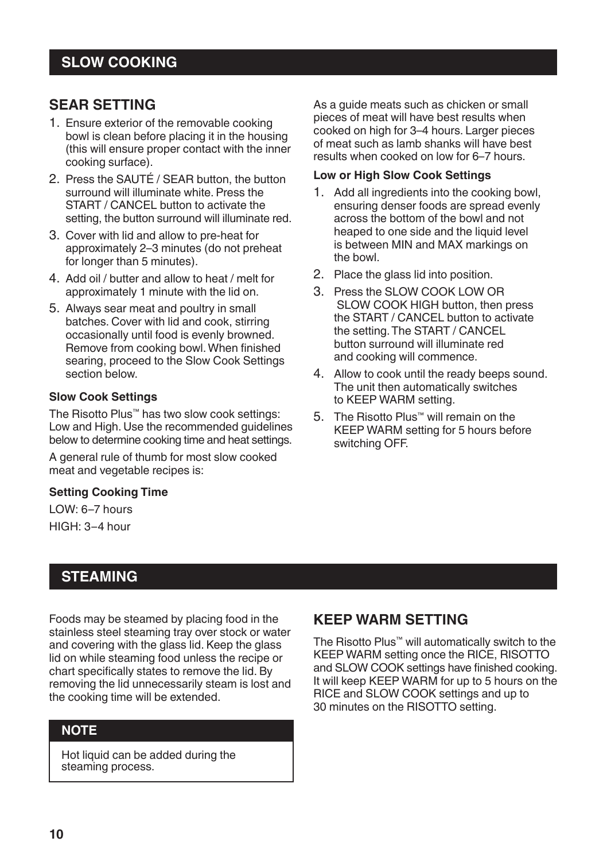#### **SEAR SETTING**

- 1. Ensure exterior of the removable cooking bowl is clean before placing it in the housing (this will ensure proper contact with the inner cooking surface).
- 2. Press the SAUTÉ / SEAR button, the button surround will illuminate white. Press the START / CANCEL button to activate the setting, the button surround will illuminate red.
- 3. Cover with lid and allow to pre-heat for approximately 2–3 minutes (do not preheat for longer than 5 minutes).
- 4. Add oil / butter and allow to heat / melt for approximately 1 minute with the lid on.
- 5. Always sear meat and poultry in small batches. Cover with lid and cook, stirring occasionally until food is evenly browned. Remove from cooking bowl. When finished searing, proceed to the Slow Cook Settings section below.

#### **Slow Cook Settings**

The Risotto Plus™ has two slow cook settings: Low and High. Use the recommended guidelines below to determine cooking time and heat settings.

A general rule of thumb for most slow cooked meat and vegetable recipes is:

#### **Setting Cooking Time**

LOW: 6–7 hours HIGH: 3–4 hour

### **STEAMING**

Foods may be steamed by placing food in the stainless steel steaming tray over stock or water and covering with the glass lid. Keep the glass lid on while steaming food unless the recipe or chart specifically states to remove the lid. By removing the lid unnecessarily steam is lost and the cooking time will be extended.

#### **NOTE**

Hot liquid can be added during the steaming process.

As a guide meats such as chicken or small pieces of meat will have best results when cooked on high for 3–4 hours. Larger pieces of meat such as lamb shanks will have best results when cooked on low for 6–7 hours.

#### **Low or High Slow Cook Settings**

- 1. Add all ingredients into the cooking bowl, ensuring denser foods are spread evenly across the bottom of the bowl and not heaped to one side and the liquid level is between MIN and MAX markings on the bowl.
- 2. Place the glass lid into position.
- 3. Press the SLOW COOK LOW OR SLOW COOK HIGH button, then press the START / CANCEL button to activate the setting. The START / CANCEL button surround will illuminate red and cooking will commence.
- 4. Allow to cook until the ready beeps sound. The unit then automatically switches to KEEP WARM setting.
- 5. The Risotto Plus™ will remain on the KEEP WARM setting for 5 hours before switching OFF.

#### **KEEP WARM SETTING**

The Risotto Plus™ will automatically switch to the KEEP WARM setting once the RICE, RISOTTO and SLOW COOK settings have finished cooking. It will keep KEEP WARM for up to 5 hours on the RICE and SLOW COOK settings and up to 30 minutes on the RISOTTO setting.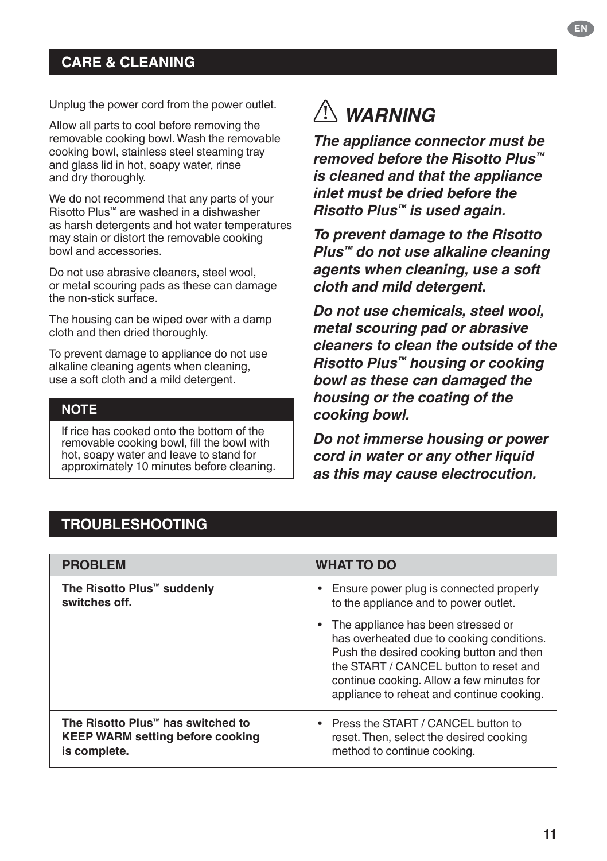### **CARE & CLEANING**

Unplug the power cord from the power outlet.

Allow all parts to cool before removing the removable cooking bowl. Wash the removable cooking bowl, stainless steel steaming tray and glass lid in hot, soapy water, rinse and dry thoroughly.

We do not recommend that any parts of your Risotto Plus™ are washed in a dishwasher as harsh detergents and hot water temperatures may stain or distort the removable cooking bowl and accessories.

Do not use abrasive cleaners, steel wool, or metal scouring pads as these can damage the non-stick surface.

The housing can be wiped over with a damp cloth and then dried thoroughly.

To prevent damage to appliance do not use alkaline cleaning agents when cleaning, use a soft cloth and a mild detergent.

#### **NOTE**

If rice has cooked onto the bottom of the removable cooking bowl, fill the bowl with hot, soapy water and leave to stand for approximately 10 minutes before cleaning.

# *WARNING*

*The appliance connector must be removed before the Risotto Plus™ is cleaned and that the appliance inlet must be dried before the Risotto Plus™ is used again.*

*To prevent damage to the Risotto Plus™ do not use alkaline cleaning agents when cleaning, use a soft cloth and mild detergent.*

*Do not use chemicals, steel wool, metal scouring pad or abrasive cleaners to clean the outside of the Risotto Plus™ housing or cooking bowl as these can damaged the housing or the coating of the cooking bowl.*

*Do not immerse housing or power cord in water or any other liquid as this may cause electrocution.*

### **TROUBLESHOOTING**

| <b>PROBLEM</b>                          | <b>WHAT TO DO</b>                                                                                                                                                                                                                                                 |
|-----------------------------------------|-------------------------------------------------------------------------------------------------------------------------------------------------------------------------------------------------------------------------------------------------------------------|
| The Risotto Plus™ suddenly              | • Ensure power plug is connected properly                                                                                                                                                                                                                         |
| switches off.                           | to the appliance and to power outlet.                                                                                                                                                                                                                             |
|                                         | • The appliance has been stressed or<br>has overheated due to cooking conditions.<br>Push the desired cooking button and then<br>the START / CANCEL button to reset and<br>continue cooking. Allow a few minutes for<br>appliance to reheat and continue cooking. |
| The Risotto Plus™ has switched to       | • Press the START / CANCEL button to                                                                                                                                                                                                                              |
| <b>KEEP WARM setting before cooking</b> | reset. Then, select the desired cooking                                                                                                                                                                                                                           |
| is complete.                            | method to continue cooking.                                                                                                                                                                                                                                       |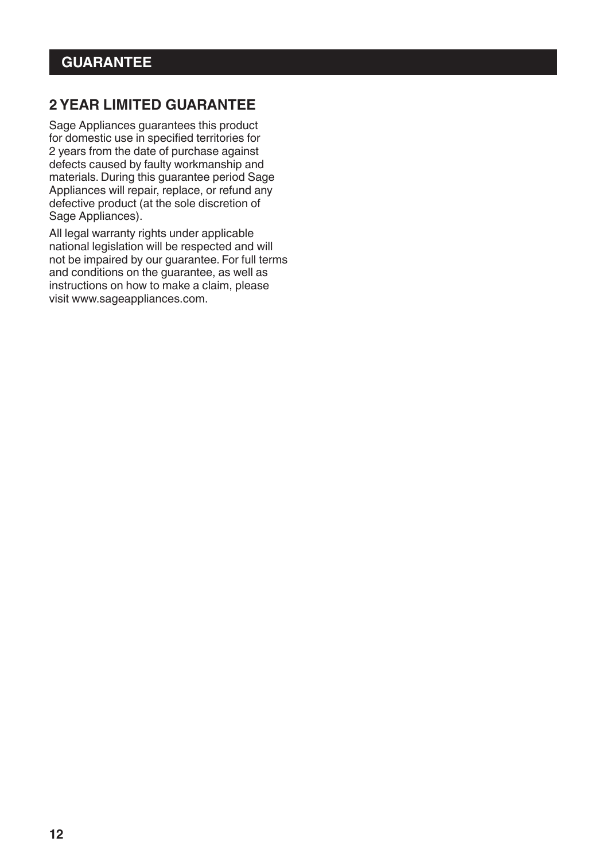### **2 YEAR LIMITED GUARANTEE**

Sage Appliances guarantees this product for domestic use in specified territories for 2 years from the date of purchase against defects caused by faulty workmanship and materials. During this guarantee period Sage Appliances will repair, replace, or refund any defective product (at the sole discretion of Sage Appliances).

All legal warranty rights under applicable national legislation will be respected and will not be impaired by our guarantee. For full terms and conditions on the guarantee, as well as instructions on how to make a claim, please visit www.sageappliances.com.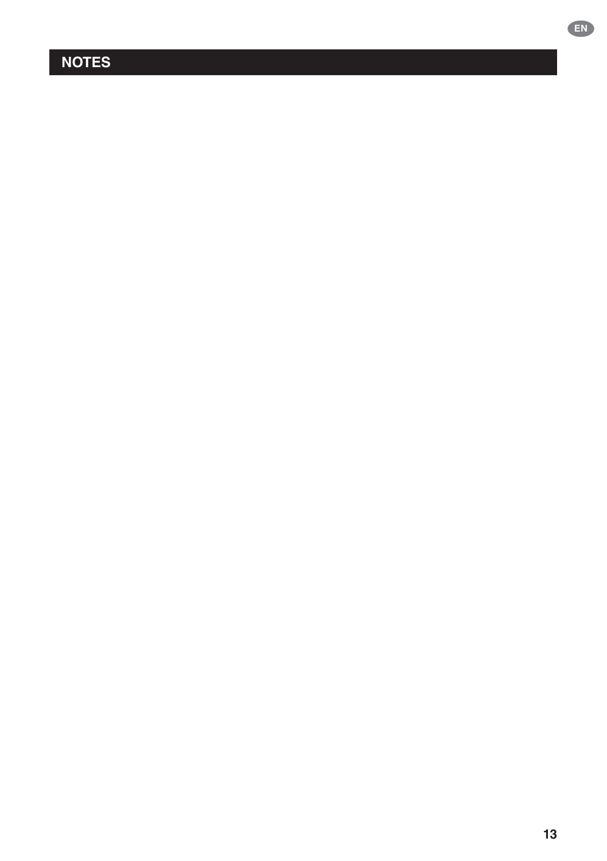# **NOTES**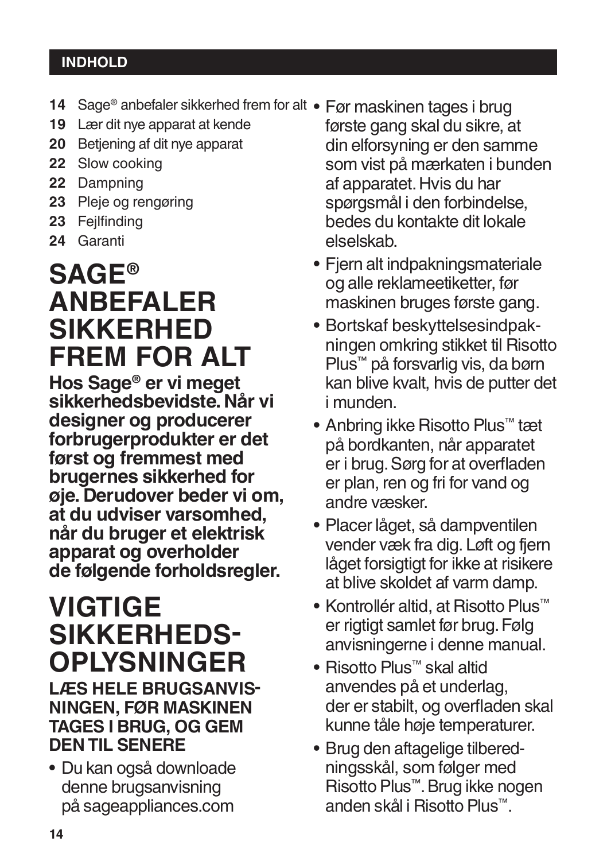## **INDHOLD**

- 14 Sage® anbefaler sikkerhed frem for alt Før maskinen tages i brug
- **19** Lær dit nye apparat at kende
- **20** Betjening af dit nye apparat
- **22** Slow cooking
- **22** Dampning
- **23** Pleje og rengøring
- **23** Fejlfinding
- **24** Garanti

# **SAGE® ANBEFALER SIKKERHED FREM FOR ALT**

**Hos Sage® er vi meget sikkerhedsbevidste. Når vi designer og producerer forbrugerprodukter er det først og fremmest med brugernes sikkerhed for øje. Derudover beder vi om, at du udviser varsomhed, når du bruger et elektrisk apparat og overholder de følgende forholdsregler.**

# **VIGTIGE SIKKERHEDS-OPLYSNINGER**

**LÆS HELE BRUGSANVIS� NINGEN, FØR MASKINEN TAGES I BRUG, OG GEM DEN TIL SENERE**

• Du kan også downloade denne brugsanvisning på sageappliances.com

- første gang skal du sikre, at din elforsyning er den samme som vist på mærkaten i bunden af apparatet. Hvis du har spørgsmål i den forbindelse, bedes du kontakte dit lokale elselskab.
- Fjern alt indpakningsmateriale og alle reklameetiketter, før maskinen bruges første gang.
- Bortskaf beskyttelsesindpakningen omkring stikket til Risotto Plus™ på forsvarlig vis, da børn kan blive kvalt, hvis de putter det i munden.
- Anbring ikke Risotto Plus™ tæt på bordkanten, når apparatet er i brug. Sørg for at overfladen er plan, ren og fri for vand og andre væsker.
- Placer låget, så dampventilen vender væk fra dig. Løft og fjern låget forsigtigt for ikke at risikere at blive skoldet af varm damp.
- Kontrollér altid, at Risotto Plus™ er rigtigt samlet før brug. Følg anvisningerne i denne manual.
- Risotto Plus™ skal altid anvendes på et underlag, der er stabilt, og overfladen skal kunne tåle høje temperaturer.
- Brug den aftagelige tilberedningsskål, som følger med Risotto Plus™. Brug ikke nogen anden skål i Risotto Plus™.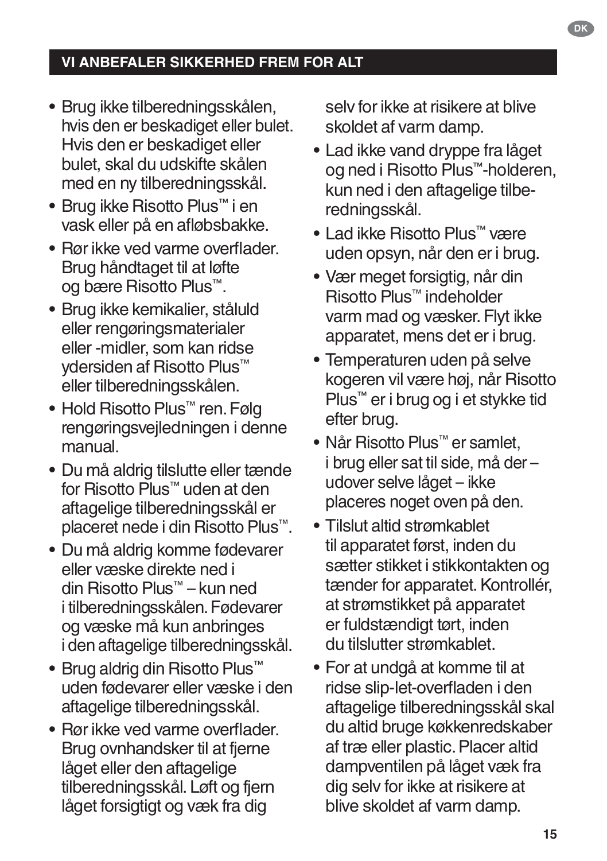- Brug ikke tilberedningsskålen, hvis den er beskadiget eller bulet. Hvis den er beskadiget eller bulet, skal du udskifte skålen med en ny tilberedningsskål.
- Brug ikke Risotto Plus™ i en vask eller på en afløbsbakke.
- Rør ikke ved varme overflader. Brug håndtaget til at løfte og bære Risotto Plus™.
- Brug ikke kemikalier, ståluld eller rengøringsmaterialer eller -midler, som kan ridse ydersiden af Risotto Plus™ eller tilberedningsskålen.
- Hold Risotto Plus™ ren. Følg rengøringsvejledningen i denne manual.
- Du må aldrig tilslutte eller tænde for Risotto Plus™ uden at den aftagelige tilberedningsskål er placeret nede i din Risotto Plus™.
- Du må aldrig komme fødevarer eller væske direkte ned i din Risotto Plus™ – kun ned i tilberedningsskålen. Fødevarer og væske må kun anbringes i den aftagelige tilberedningsskål.
- Brug aldrig din Risotto Plus™ uden fødevarer eller væske i den aftagelige tilberedningsskål.
- Rør ikke ved varme overflader. Brug ovnhandsker til at fjerne låget eller den aftagelige tilberedningsskål. Løft og fjern låget forsigtigt og væk fra dig

selv for ikke at risikere at blive skoldet af varm damp.

- Lad ikke vand dryppe fra låget og ned i Risotto Plus™-holderen, kun ned i den aftagelige tilberedningsskål.
- Lad ikke Risotto Plus™ være uden opsyn, når den er i brug.
- Vær meget forsigtig, når din Risotto Plus™ indeholder varm mad og væsker. Flyt ikke apparatet, mens det er i brug.
- Temperaturen uden på selve kogeren vil være høj, når Risotto Plus™ er i brug og i et stykke tid efter brug.
- Når Risotto Plus™ er samlet, i brug eller sat til side, må der – udover selve låget – ikke placeres noget oven på den.
- Tilslut altid strømkablet til apparatet først, inden du sætter stikket i stikkontakten og tænder for apparatet. Kontrollér, at strømstikket på apparatet er fuldstændigt tørt, inden du tilslutter strømkablet.
- For at undgå at komme til at ridse slip-let-overfladen i den aftagelige tilberedningsskål skal du altid bruge køkkenredskaber af træ eller plastic. Placer altid dampventilen på låget væk fra dig selv for ikke at risikere at blive skoldet af varm damp.

**DK**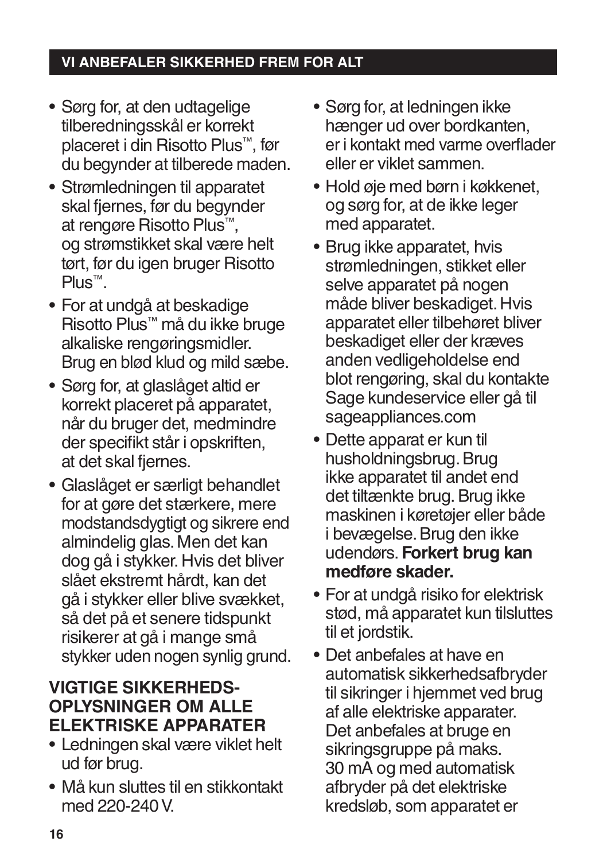- Sørg for, at den udtagelige tilberedningsskål er korrekt placeret i din Risotto Plus™, før du begynder at tilberede maden.
- Strømledningen til apparatet skal fjernes, før du begynder at rengøre Risotto Plus™, og strømstikket skal være helt tørt, før du igen bruger Risotto Plus™.
- For at undgå at beskadige Risotto Plus™ må du ikke bruge alkaliske rengøringsmidler. Brug en blød klud og mild sæbe.
- Sørg for, at glaslåget altid er korrekt placeret på apparatet, når du bruger det, medmindre der specifikt står i opskriften, at det skal fjernes.
- Glaslåget er særligt behandlet for at gøre det stærkere, mere modstandsdygtigt og sikrere end almindelig glas. Men det kan dog gå i stykker. Hvis det bliver slået ekstremt hårdt, kan det gå i stykker eller blive svækket, så det på et senere tidspunkt risikerer at gå i mange små stykker uden nogen synlig grund.

# **VIGTIGE SIKKERHEDS-OPLYSNINGER OM ALLE ELEKTRISKE APPARATER**

- Ledningen skal være viklet helt ud før brug.
- Må kun sluttes til en stikkontakt med 220-240 V.
- Sørg for, at ledningen ikke hænger ud over bordkanten, er i kontakt med varme overflader eller er viklet sammen.
- Hold øje med børn i køkkenet, og sørg for, at de ikke leger med apparatet.
- Brug ikke apparatet, hvis strømledningen, stikket eller selve apparatet på nogen måde bliver beskadiget. Hvis apparatet eller tilbehøret bliver beskadiget eller der kræves anden vedligeholdelse end blot rengøring, skal du kontakte Sage kundeservice eller gå til sageappliances.com
- Dette apparat er kun til husholdningsbrug. Brug ikke apparatet til andet end det tiltænkte brug. Brug ikke maskinen i køretøjer eller både i bevægelse. Brug den ikke udendørs. **Forkert brug kan medføre skader.**
- For at undgå risiko for elektrisk stød, må apparatet kun tilsluttes til et jordstik.
- Det anbefales at have en automatisk sikkerhedsafbryder til sikringer i hjemmet ved brug af alle elektriske apparater. Det anbefales at bruge en sikringsgruppe på maks. 30 mA og med automatisk afbryder på det elektriske kredsløb, som apparatet er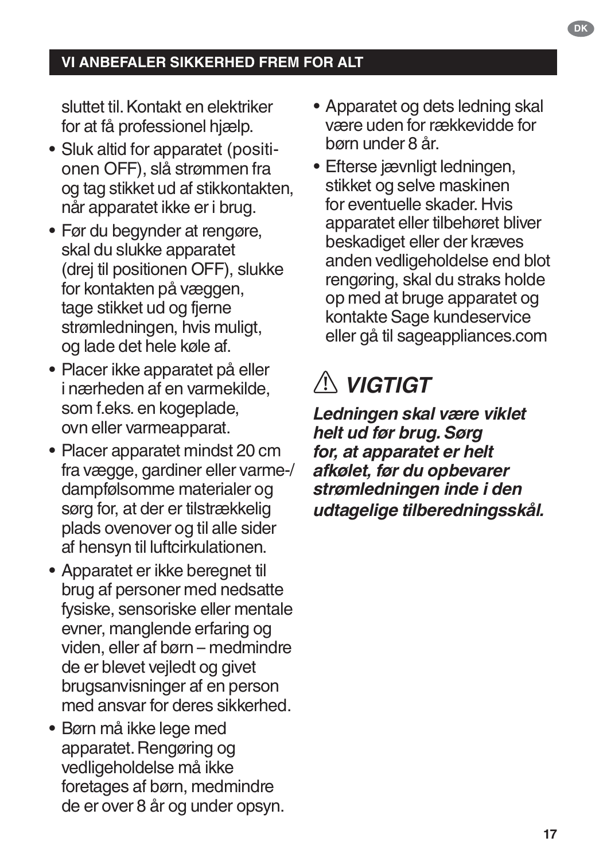sluttet til. Kontakt en elektriker for at få professionel hjælp.

- Sluk altid for apparatet (positionen OFF), slå strømmen fra og tag stikket ud af stikkontakten, når apparatet ikke er i brug.
- Før du begynder at rengøre, skal du slukke apparatet (drej til positionen OFF), slukke for kontakten på væggen, tage stikket ud og fjerne strømledningen, hvis muligt, og lade det hele køle af.
- Placer ikke apparatet på eller i nærheden af en varmekilde, som f.eks. en kogeplade, ovn eller varmeapparat.
- Placer apparatet mindst 20 cm fra vægge, gardiner eller varme-/ dampfølsomme materialer og sørg for, at der er tilstrækkelig plads ovenover og til alle sider af hensyn til luftcirkulationen.
- Apparatet er ikke beregnet til brug af personer med nedsatte fysiske, sensoriske eller mentale evner, manglende erfaring og viden, eller af børn – medmindre de er blevet vejledt og givet brugsanvisninger af en person med ansvar for deres sikkerhed.
- Børn må ikke lege med apparatet. Rengøring og vedligeholdelse må ikke foretages af børn, medmindre de er over 8 år og under opsyn.
- Apparatet og dets ledning skal være uden for rækkevidde for børn under 8 år.
- Efterse jævnligt ledningen, stikket og selve maskinen for eventuelle skader. Hvis apparatet eller tilbehøret bliver beskadiget eller der kræves anden vedligeholdelse end blot rengøring, skal du straks holde op med at bruge apparatet og kontakte Sage kundeservice eller gå til sageappliances.com

# *VIGTIGT*

*Ledningen skal være viklet helt ud før brug. Sørg for, at apparatet er helt afkølet, før du opbevarer strømledningen inde i den udtagelige tilberedningsskål.*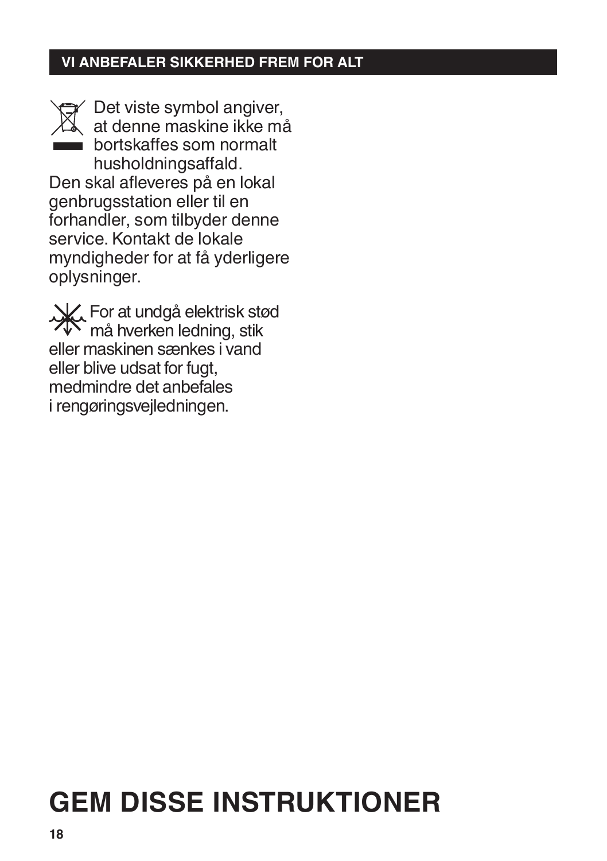Det viste symbol angiver, at denne maskine ikke må bortskaffes som normalt husholdningsaffald. Den skal afleveres på en lokal genbrugsstation eller til en forhandler, som tilbyder denne service. Kontakt de lokale

myndigheder for at få yderligere oplysninger.

For at undgå elektrisk stød må hverken ledning, stik eller maskinen sænkes i vand eller blive udsat for fugt, medmindre det anbefales i rengøringsvejledningen.

# **GEM DISSE INSTRUKTIONER**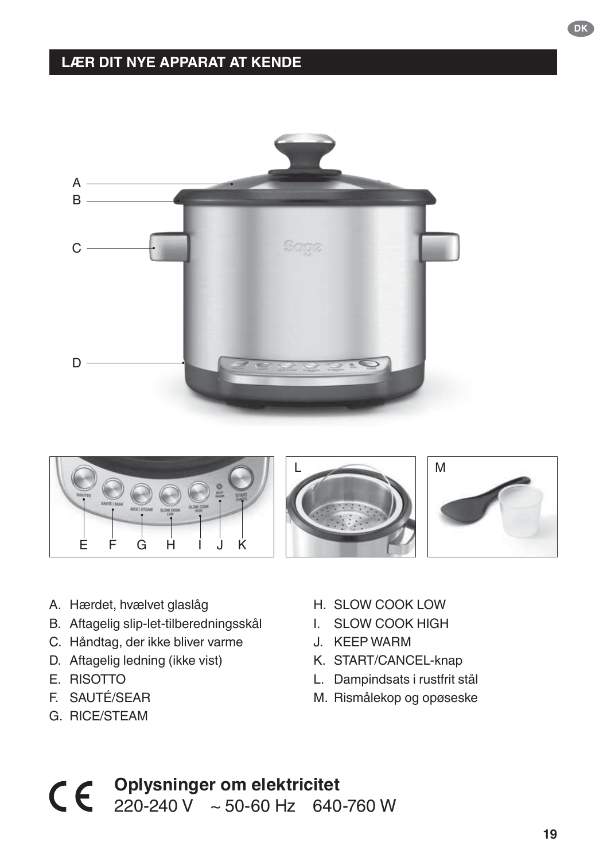# **LÆR DIT NYE APPARAT AT KENDE**





- A. Hærdet, hvælvet glaslåg
- B. Aftagelig slip-let-tilberedningsskål
- C. Håndtag, der ikke bliver varme
- D. Aftagelig ledning (ikke vist)
- E. RISOTTO
- F. SAUTÉ/SEAR
- G. RICE/STEAM
- H. SLOW COOK LOW
- I. SLOW COOK HIGH
- J. KEEP WARM
- K. START/CANCEL-knap
- L. Dampindsats i rustfrit stål
- M. Rismålekop og opøseske

# **Oplysninger om elektricitet** 220-240 V ~ 50-60 Hz 640-760 W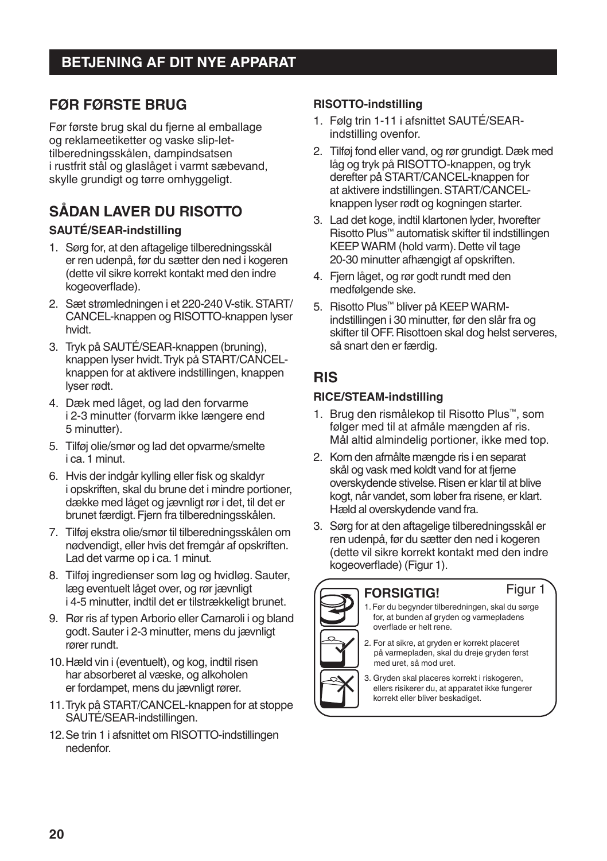### **FØR FØRSTE BRUG**

Før første brug skal du fjerne al emballage og reklameetiketter og vaske slip-lettilberedningsskålen, dampindsatsen i rustfrit stål og glaslåget i varmt sæbevand, skylle grundigt og tørre omhyggeligt.

# **SÅDAN LAVER DU RISOTTO**

#### **SAUTÉ/SEAR-indstilling**

- 1. Sørg for, at den aftagelige tilberedningsskål er ren udenpå, før du sætter den ned i kogeren (dette vil sikre korrekt kontakt med den indre kogeoverflade).
- 2. Sæt strømledningen i et 220-240 V-stik. START/ CANCEL-knappen og RISOTTO-knappen lyser hvidt.
- 3. Tryk på SAUTÉ/SEAR-knappen (bruning), knappen lyser hvidt. Tryk på START/CANCELknappen for at aktivere indstillingen, knappen lyser rødt.
- 4. Dæk med låget, og lad den forvarme i 2-3 minutter (forvarm ikke længere end 5 minutter).
- 5. Tilføj olie/smør og lad det opvarme/smelte i ca.1 minut.
- 6. Hvis der indgår kylling eller fisk og skaldyr i opskriften, skal du brune det i mindre portioner, dække med låget og jævnligt rør i det, til det er brunet færdigt. Fjern fra tilberedningsskålen.
- 7. Tilføj ekstra olie/smør til tilberedningsskålen om nødvendigt, eller hvis det fremgår af opskriften. Lad det varme op i ca. 1 minut.
- 8. Tilføj ingredienser som løg og hvidløg. Sauter, læg eventuelt låget over, og rør jævnligt i 4-5 minutter, indtil det er tilstrækkeligt brunet.
- 9. Rør ris af typen Arborio eller Carnaroli i og bland godt. Sauter i 2-3 minutter, mens du jævnligt rører rundt.
- 10.Hæld vin i (eventuelt), og kog, indtil risen har absorberet al væske, og alkoholen er fordampet, mens du jævnligt rører.
- 11.Tryk på START/CANCEL-knappen for at stoppe SAUTÉ/SEAR-indstillingen.
- 12.Se trin 1 i afsnittet om RISOTTO-indstillingen nedenfor.

#### **RISOTTO-indstilling**

- 1. Følg trin 1-11 i afsnittet SAUTÉ/SEARindstilling ovenfor.
- 2. Tilføj fond eller vand, og rør grundigt. Dæk med låg og tryk på RISOTTO-knappen, og tryk derefter på START/CANCEL-knappen for at aktivere indstillingen. START/CANCELknappen lyser rødt og kogningen starter.
- 3. Lad det koge, indtil klartonen lyder, hvorefter Risotto Plus™ automatisk skifter til indstillingen KEEP WARM (hold varm). Dette vil tage 20-30 minutter afhængigt af opskriften.
- 4. Fjern låget, og rør godt rundt med den medfølgende ske.
- 5. Risotto Plus™ bliver på KEEP WARMindstillingen i 30 minutter, før den slår fra og skifter til OFF. Risottoen skal dog helst serveres, så snart den er færdig.

### **RIS**

#### **RICE/STEAM-indstilling**

- 1. Brug den rismålekop til Risotto Plus™, som følger med til at afmåle mængden af ris. Mål altid almindelig portioner, ikke med top.
- 2. Kom den afmålte mængde ris i en separat skål og vask med koldt vand for at fjerne overskydende stivelse. Risen er klar til at blive kogt, når vandet, som løber fra risene, er klart. Hæld al overskydende vand fra.
- 3. Sørg for at den aftagelige tilberedningsskål er ren udenpå, før du sætter den ned i kogeren (dette vil sikre korrekt kontakt med den indre kogeoverflade) (Figur 1).



#### **FORSIGTIG!**

- 1. Før du begynder tilberedningen, skal du sørge for, at bunden af gryden og varmepladens Figur 1
- overflade er helt rene. 2. For at sikre, at gryden er korrekt placeret
	- på varmepladen, skal du dreje gryden først med uret, så mod uret.

3. Gryden skal placeres korrekt i riskogeren, ellers risikerer du, at apparatet ikke fungerer korrekt eller bliver beskadiget.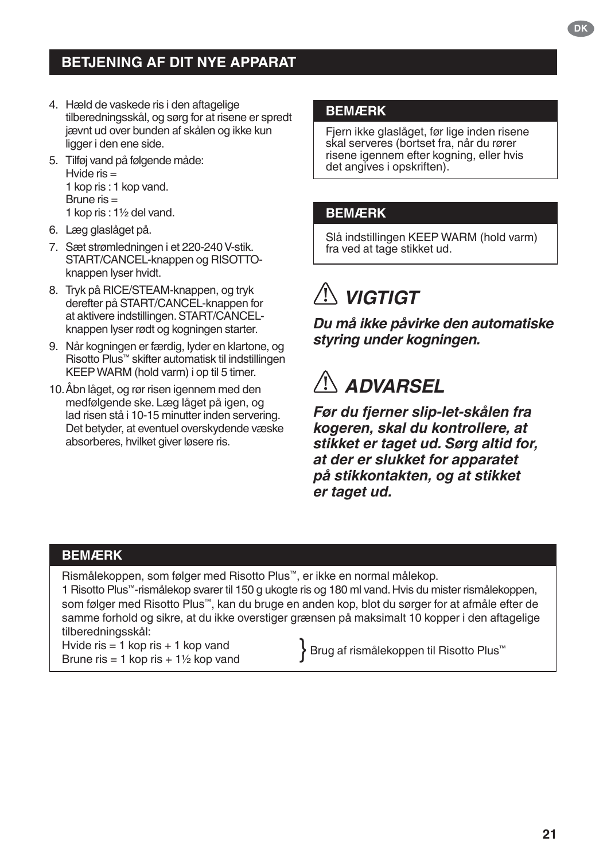# **BETJENING AF DIT NYE APPARAT**

- 4. Hæld de vaskede ris i den aftagelige tilberedningsskål, og sørg for at risene er spredt jævnt ud over bunden af skålen og ikke kun ligger i den ene side.
- 5. Tilføj vand på følgende måde: Hvide  $ris =$ 1 kop ris : 1 kop vand. Brune ris  $=$ 1 kop ris : 1½ del vand.
- 6. Læg glaslåget på.
- 7. Sæt strømledningen i et 220-240 V-stik. START/CANCEL-knappen og RISOTTOknappen lyser hvidt.
- 8. Tryk på RICE/STEAM-knappen, og tryk derefter på START/CANCEL-knappen for at aktivere indstillingen. START/CANCELknappen lyser rødt og kogningen starter.
- 9. Når kogningen er færdig, lyder en klartone, og Risotto Plus™ skifter automatisk til indstillingen KEEP WARM (hold varm) i op til 5 timer.
- 10.Åbn låget, og rør risen igennem med den medfølgende ske. Læg låget på igen, og lad risen stå i 10-15 minutter inden servering. Det betyder, at eventuel overskydende væske absorberes, hvilket giver løsere ris.

#### **BEMÆRK**

Fjern ikke glaslåget, før lige inden risene skal serveres (bortset fra, når du rører risene igennem efter kogning, eller hvis det angives i opskriften).

#### **BEMÆRK**

Slå indstillingen KEEP WARM (hold varm) fra ved at tage stikket ud.

# *VIGTIGT*

*Du må ikke påvirke den automatiske styring under kogningen.*

# *ADVARSEL*

*Før du fjerner slip-let-skålen fra kogeren, skal du kontrollere, at stikket er taget ud. Sørg altid for, at der er slukket for apparatet på stikkontakten, og at stikket er taget ud.*

#### **BEMÆRK**

Rismålekoppen, som følger med Risotto Plus™, er ikke en normal målekop.

1 Risotto Plus™-rismålekop svarer til 150 g ukogte ris og 180 ml vand. Hvis du mister rismålekoppen, som følger med Risotto Plus™, kan du bruge en anden kop, blot du sørger for at afmåle efter de samme forhold og sikre, at du ikke overstiger grænsen på maksimalt 10 kopper i den aftagelige tilberedningsskål:

Hvide ris  $= 1$  kop ris  $+ 1$  kop vand Hvide ris = 1 kop ris + 1 kop vand **Brug** af rismålekoppen til Risotto Plus™<br>Brune ris = 1 kop ris + 1½ kop vand **Brug af rismålekoppen til Risotto Plus** 

**21**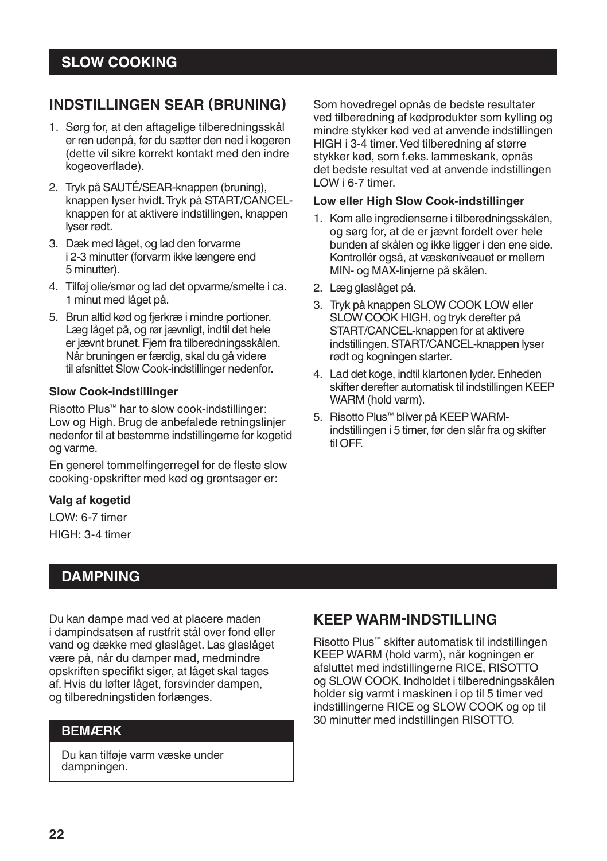### **INDSTILLINGEN SEAR (BRUNING)**

- 1. Sørg for, at den aftagelige tilberedningsskål er ren udenpå, før du sætter den ned i kogeren (dette vil sikre korrekt kontakt med den indre kogeoverflade).
- 2. Tryk på SAUTÉ/SEAR-knappen (bruning), knappen lyser hvidt. Tryk på START/CANCELknappen for at aktivere indstillingen, knappen lyser rødt.
- 3. Dæk med låget, og lad den forvarme i 2-3 minutter (forvarm ikke længere end 5 minutter).
- 4. Tilføj olie/smør og lad det opvarme/smelte i ca. 1 minut med låget på.
- 5. Brun altid kød og fjerkræ i mindre portioner. Læg låget på, og rør jævnligt, indtil det hele er jævnt brunet. Fjern fra tilberedningsskålen. Når bruningen er færdig, skal du gå videre til afsnittet Slow Cook-indstillinger nedenfor.

#### **Slow Cook-indstillinger**

Risotto Plus™ har to slow cook-indstillinger: Low og High. Brug de anbefalede retningslinjer nedenfor til at bestemme indstillingerne for kogetid og varme.

En generel tommelfingerregel for de fleste slow cooking-opskrifter med kød og grøntsager er:

#### **Valg af kogetid**

LOW: 6-7 timer

HIGH: 3-4 timer

#### **DAMPNING**

Du kan dampe mad ved at placere maden i dampindsatsen af rustfrit stål over fond eller vand og dække med glaslåget. Las glaslåget være på, når du damper mad, medmindre opskriften specifikt siger, at låget skal tages af. Hvis du løfter låget, forsvinder dampen, og tilberedningstiden forlænges.

#### **BEMÆRK**

Du kan tilføje varm væske under dampningen.

Som hovedregel opnås de bedste resultater ved tilberedning af kødprodukter som kylling og mindre stykker kød ved at anvende indstillingen HIGH i 3-4 timer. Ved tilberedning af større stykker kød, som f.eks. lammeskank, opnås det bedste resultat ved at anvende indstillingen LOW i 6-7 timer.

#### **Low eller High Slow Cook-indstillinger**

- 1. Kom alle ingredienserne i tilberedningsskålen, og sørg for, at de er jævnt fordelt over hele bunden af skålen og ikke ligger i den ene side. Kontrollér også, at væskeniveauet er mellem MIN- og MAX-linjerne på skålen.
- 2. Læg glaslåget på.
- 3. Tryk på knappen SLOW COOK LOW eller SLOW COOK HIGH, og tryk derefter på START/CANCEL-knappen for at aktivere indstillingen. START/CANCEL-knappen lyser rødt og kogningen starter.
- 4. Lad det koge, indtil klartonen lyder. Enheden skifter derefter automatisk til indstillingen KEEP WARM (hold varm).
- 5. Risotto Plus™ bliver på KEEP WARMindstillingen i 5 timer, før den slår fra og skifter til OFF.

#### **KEEP WARM-INDSTILLING**

Risotto Plus™ skifter automatisk til indstillingen KEEP WARM (hold varm), når kogningen er afsluttet med indstillingerne RICE, RISOTTO og SLOW COOK. Indholdet i tilberedningsskålen holder sig varmt i maskinen i op til 5 timer ved indstillingerne RICE og SLOW COOK og op til 30 minutter med indstillingen RISOTTO.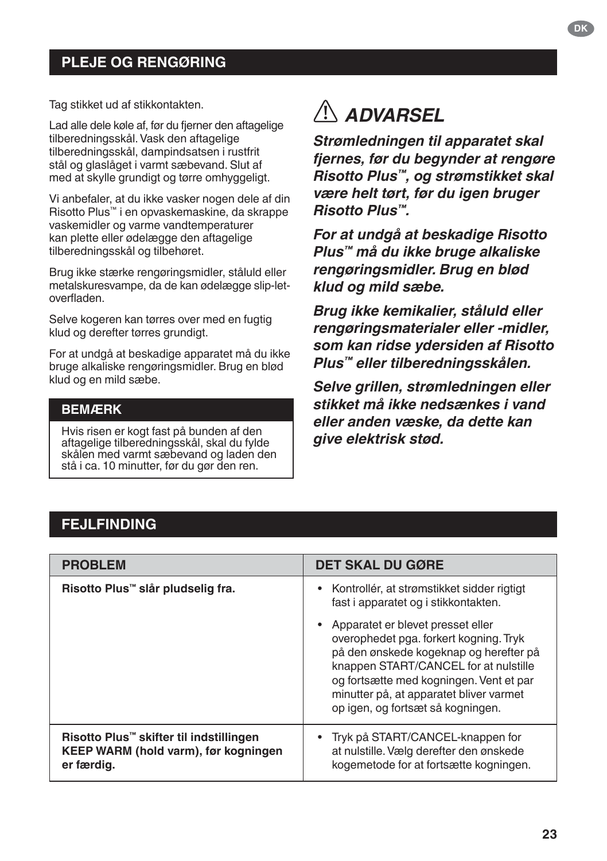### **PLEJE OG RENGØRING**

Tag stikket ud af stikkontakten.

Lad alle dele køle af, før du fjerner den aftagelige tilberedningsskål. Vask den aftagelige tilberedningsskål, dampindsatsen i rustfrit stål og glaslåget i varmt sæbevand. Slut af med at skylle grundigt og tørre omhyggeligt.

Vi anbefaler, at du ikke vasker nogen dele af din Risotto Plus™ i en opvaskemaskine, da skrappe vaskemidler og varme vandtemperaturer kan plette eller ødelægge den aftagelige tilberedningsskål og tilbehøret.

Brug ikke stærke rengøringsmidler, ståluld eller metalskuresvampe, da de kan ødelægge slip-letoverfladen.

Selve kogeren kan tørres over med en fugtig klud og derefter tørres grundigt.

For at undgå at beskadige apparatet må du ikke bruge alkaliske rengøringsmidler. Brug en blød klud og en mild sæbe.

#### **BEMÆRK**

Hvis risen er kogt fast på bunden af den aftagelige tilberedningsskål, skal du fylde skålen med varmt sæbevand og laden den stå i ca. 10 minutter, før du gør den ren.

# *ADVARSEL*

*Strømledningen til apparatet skal fjernes, før du begynder at rengøre Risotto Plus™, og strømstikket skal være helt tørt, før du igen bruger Risotto Plus™.*

*For at undgå at beskadige Risotto Plus™ må du ikke bruge alkaliske rengøringsmidler. Brug en blød klud og mild sæbe.*

*Brug ikke kemikalier, ståluld eller rengøringsmaterialer eller -midler, som kan ridse ydersiden af Risotto Plus™ eller tilberedningsskålen.*

*Selve grillen, strømledningen eller stikket må ikke nedsænkes i vand eller anden væske, da dette kan give elektrisk stød.*

#### **FEJLFINDING**

| <b>PROBLEM</b>                                                                                | <b>DET SKAL DU GØRE</b>                                                                                                                                                                                                                                                                   |
|-----------------------------------------------------------------------------------------------|-------------------------------------------------------------------------------------------------------------------------------------------------------------------------------------------------------------------------------------------------------------------------------------------|
| Risotto Plus™ slår pludselig fra.                                                             | • Kontrollér, at strømstikket sidder rigtigt<br>fast i apparatet og i stikkontakten.                                                                                                                                                                                                      |
|                                                                                               | Apparatet er blevet presset eller<br>overophedet pga. forkert kogning. Tryk<br>på den ønskede kogeknap og herefter på<br>knappen START/CANCEL for at nulstille<br>og fortsætte med kogningen. Vent et par<br>minutter på, at apparatet bliver varmet<br>op igen, og fortsæt så kogningen. |
| Risotto Plus™ skifter til indstillingen<br>KEEP WARM (hold varm), før kogningen<br>er færdig. | Tryk på START/CANCEL-knappen for<br>at nulstille. Vælg derefter den ønskede<br>kogemetode for at fortsætte kogningen.                                                                                                                                                                     |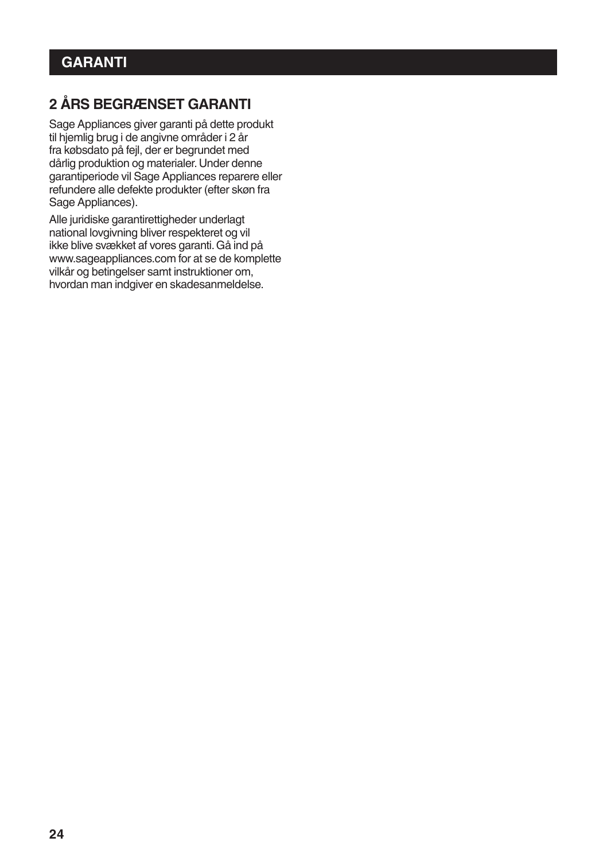# **2 ÅRS BEGRÆNSET GARANTI**

Sage Appliances giver garanti på dette produkt til hjemlig brug i de angivne områder i 2 år fra købsdato på fejl, der er begrundet med dårlig produktion og materialer. Under denne garantiperiode vil Sage Appliances reparere eller refundere alle defekte produkter (efter skøn fra Sage Appliances).

Alle juridiske garantirettigheder underlagt national lovgivning bliver respekteret og vil ikke blive svækket af vores garanti. Gå ind på www.sageappliances.com for at se de komplette vilkår og betingelser samt instruktioner om, hvordan man indgiver en skadesanmeldelse.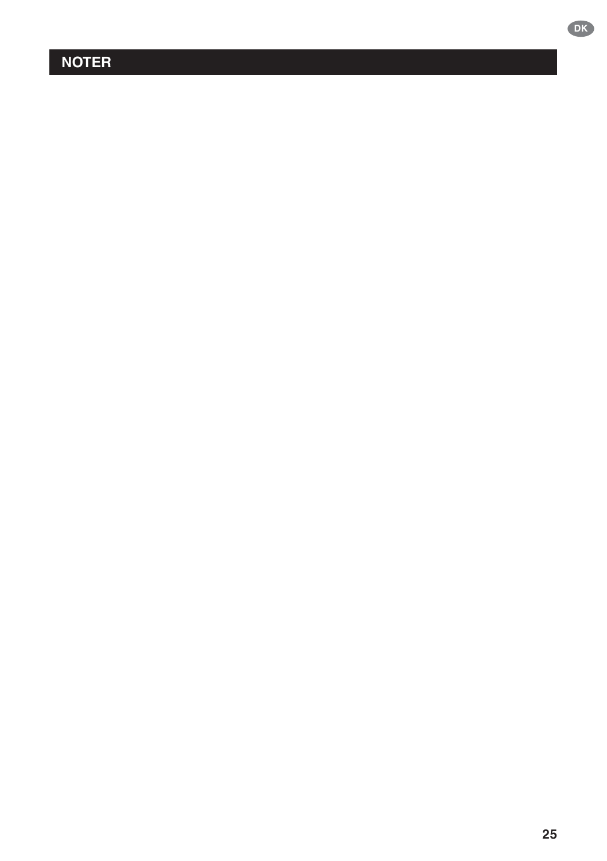# **NOTER**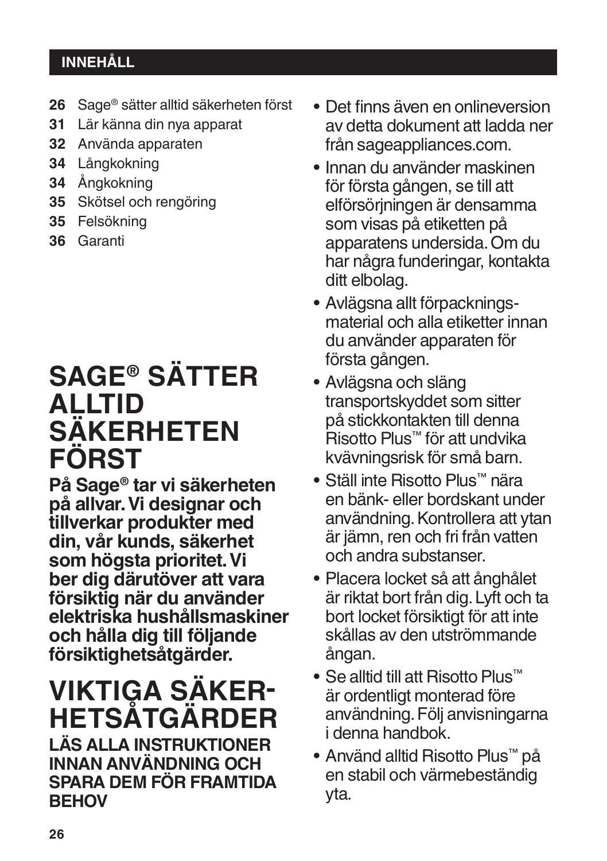# **INNEHÅLL**

- **26** Sage® sätter alltid säkerheten först
- **31** Lär känna din nya apparat
- **32** Använda apparaten
- **34** Långkokning
- **34** Ångkokning
- **35** Skötsel och rengöring
- **35** Felsökning
- **36** Garanti

# **SAGE® SÄTTER ALLTID SÄKERHETEN FÖRST**

**På Sage® tar vi säkerheten på allvar. Vi designar och tillverkar produkter med din, vår kunds, säkerhet som högsta prioritet. Vi ber dig därutöver att vara försiktig när du använder elektriska hushållsmaskiner och hålla dig till följande försiktighetsåtgärder.**

# **VIKTIGA SÄKER� HETSÅTGÄRDER**

**LÄS ALLA INSTRUKTIONER INNAN ANVÄNDNING OCH SPARA DEM FÖR FRAMTIDA BEHOV**

- Det finns även en onlineversion av detta dokument att ladda ner från sageappliances.com.
- Innan du använder maskinen för första gången, se till att elförsörjningen är densamma som visas på etiketten på apparatens undersida. Om du har några funderingar, kontakta ditt elbolag.
- Avlägsna allt förpackningsmaterial och alla etiketter innan du använder apparaten för första gången.
- Avlägsna och släng transportskyddet som sitter på stickkontakten till denna Risotto Plus™ för att undvika kvävningsrisk för små barn.
- Ställ inte Risotto Plus™ nära en bänk- eller bordskant under användning. Kontrollera att ytan är jämn, ren och fri från vatten och andra substanser.
- Placera locket så att ånghålet är riktat bort från dig. Lyft och ta bort locket försiktigt för att inte skållas av den utströmmande ångan.
- Se alltid till att Risotto Plus™ är ordentligt monterad före användning. Följ anvisningarna i denna handbok.
- Använd alltid Risotto Plus™ på en stabil och värmebeständig yta.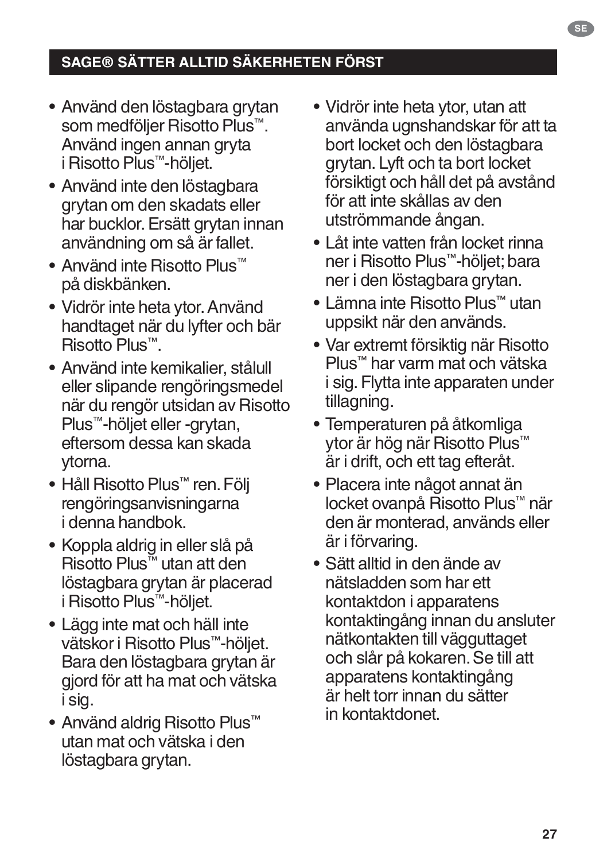# **SAGE® SÄTTER ALLTID SÄKERHETEN FÖRST**

- Använd den löstagbara grytan som medföljer Risotto Plus™. Använd ingen annan gryta i Risotto Plus™-höljet.
- Använd inte den löstagbara grytan om den skadats eller har bucklor. Ersätt grytan innan användning om så är fallet.
- Använd inte Risotto Plus™ på diskbänken.
- Vidrör inte heta ytor. Använd handtaget när du lyfter och bär Risotto Plus™.
- Använd inte kemikalier, stålull eller slipande rengöringsmedel när du rengör utsidan av Risotto Plus™-höljet eller -grytan, eftersom dessa kan skada ytorna.
- Håll Risotto Plus™ ren. Följ rengöringsanvisningarna i denna handbok.
- Koppla aldrig in eller slå på Risotto Plus™ utan att den löstagbara grytan är placerad i Risotto Plus™-höljet.
- Lägg inte mat och häll inte vätskor i Risotto Plus™-höljet. Bara den löstagbara grytan är gjord för att ha mat och vätska i sig.
- Använd aldrig Risotto Plus™ utan mat och vätska i den löstagbara grytan.
- Vidrör inte heta ytor, utan att använda ugnshandskar för att ta bort locket och den löstagbara grytan. Lyft och ta bort locket försiktigt och håll det på avstånd för att inte skållas av den utströmmande ångan.
- Låt inte vatten från locket rinna ner i Risotto Plus™-höljet; bara ner i den löstagbara grytan.
- Lämna inte Risotto Plus™ utan uppsikt när den används.
- Var extremt försiktig när Risotto Plus™ har varm mat och vätska i sig. Flytta inte apparaten under tillagning.
- Temperaturen på åtkomliga ytor är hög när Risotto Plus™ är i drift, och ett tag efteråt.
- Placera inte något annat än locket ovanpå Risotto Plus™ när den är monterad, används eller är i förvaring.
- Sätt alltid in den ände av nätsladden som har ett kontaktdon i apparatens kontaktingång innan du ansluter nätkontakten till vägguttaget och slår på kokaren. Se till att apparatens kontaktingång är helt torr innan du sätter in kontaktdonet.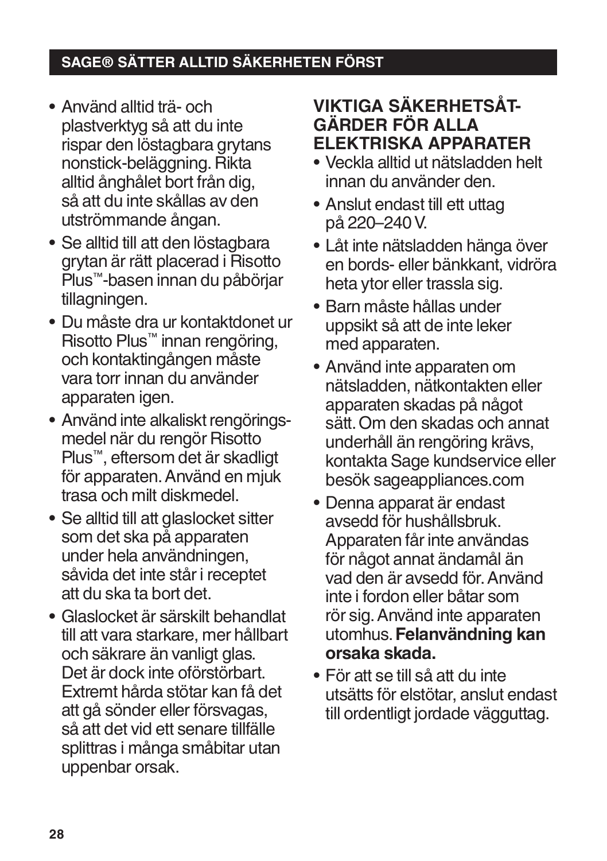# **SAGE® SÄTTER ALLTID SÄKERHETEN FÖRST**

- Använd alltid trä- och plastverktyg så att du inte rispar den löstagbara grytans nonstick-beläggning. Rikta alltid ånghålet bort från dig, så att du inte skållas av den utströmmande ångan.
- Se alltid till att den löstagbara grytan är rätt placerad i Risotto Plus™-basen innan du påbörjar tillagningen.
- Du måste dra ur kontaktdonet ur Risotto Plus™ innan rengöring, och kontaktingången måste vara torr innan du använder apparaten igen.
- Använd inte alkaliskt rengöringsmedel när du rengör Risotto Plus™, eftersom det är skadligt för apparaten. Använd en mjuk trasa och milt diskmedel.
- Se alltid till att glaslocket sitter som det ska på apparaten under hela användningen, såvida det inte står i receptet att du ska ta bort det.
- Glaslocket är särskilt behandlat till att vara starkare, mer hållbart och säkrare än vanligt glas. Det är dock inte oförstörbart. Extremt hårda stötar kan få det att gå sönder eller försvagas, så att det vid ett senare tillfälle splittras i många småbitar utan uppenbar orsak.

# **VIKTIGA SÄKERHETSÅT-GÄRDER FÖR ALLA ELEKTRISKA APPARATER**

- Veckla alltid ut nätsladden helt innan du använder den.
- Anslut endast till ett uttag på 220–240 V.
- Låt inte nätsladden hänga över en bords- eller bänkkant, vidröra heta ytor eller trassla sig.
- Barn måste hållas under uppsikt så att de inte leker med apparaten.
- Använd inte apparaten om nätsladden, nätkontakten eller apparaten skadas på något sätt. Om den skadas och annat underhåll än rengöring krävs, kontakta Sage kundservice eller besök sageappliances.com
- Denna apparat är endast avsedd för hushållsbruk. Apparaten får inte användas för något annat ändamål än vad den är avsedd för. Använd inte i fordon eller båtar som rör sig. Använd inte apparaten utomhus. **Felanvändning kan orsaka skada.**
- För att se till så att du inte utsätts för elstötar, anslut endast till ordentligt jordade vägguttag.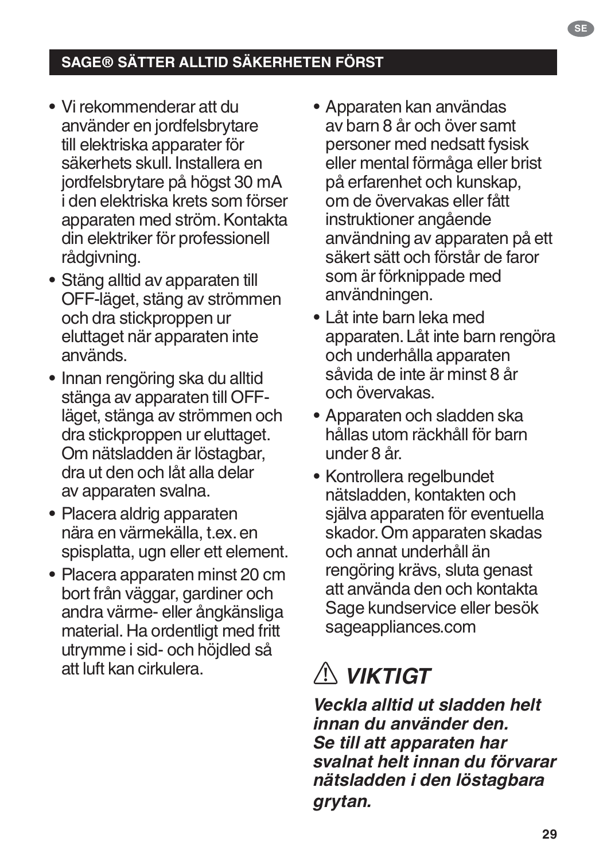- Vi rekommenderar att du använder en jordfelsbrytare till elektriska apparater för säkerhets skull. Installera en jordfelsbrytare på högst 30 mA i den elektriska krets som förser apparaten med ström. Kontakta din elektriker för professionell rådgivning.
- Stäng alltid av apparaten till OFF-läget, stäng av strömmen och dra stickproppen ur eluttaget när apparaten inte används.
- Innan rengöring ska du alltid stänga av apparaten till OFFläget, stänga av strömmen och dra stickproppen ur eluttaget. Om nätsladden är löstagbar, dra ut den och låt alla delar av apparaten svalna.
- Placera aldrig apparaten nära en värmekälla, t.ex. en spisplatta, ugn eller ett element.
- Placera apparaten minst 20 cm bort från väggar, gardiner och andra värme- eller ångkänsliga material. Ha ordentligt med fritt utrymme i sid- och höjdled så att luft kan cirkulera.
- Apparaten kan användas av barn 8 år och över samt personer med nedsatt fysisk eller mental förmåga eller brist på erfarenhet och kunskap, om de övervakas eller fått instruktioner angående användning av apparaten på ett säkert sätt och förstår de faror som är förknippade med användningen.
- Låt inte barn leka med apparaten. Låt inte barn rengöra och underhålla apparaten såvida de inte är minst 8 år och övervakas.
- Apparaten och sladden ska hållas utom räckhåll för barn under 8 år.
- Kontrollera regelbundet nätsladden, kontakten och själva apparaten för eventuella skador. Om apparaten skadas och annat underhåll än rengöring krävs, sluta genast att använda den och kontakta Sage kundservice eller besök sageappliances.com

# *VIKTIGT*

*Veckla alltid ut sladden helt innan du använder den. Se till att apparaten har svalnat helt innan du förvarar nätsladden i den löstagbara grytan.*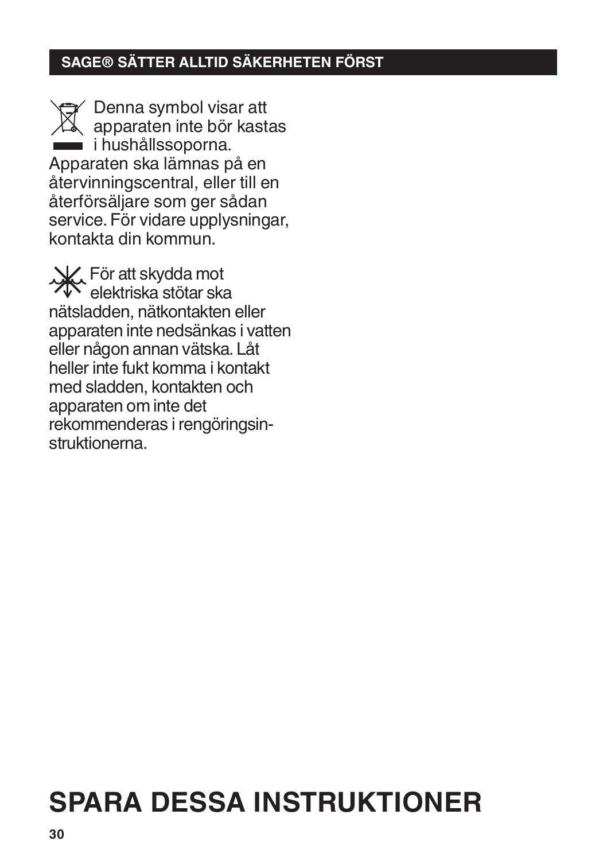# **SAGE® SÄTTER ALLTID SÄKERHETEN FÖRST**

Denna symbol visar att apparaten inte bör kastas i hushållssoporna. Apparaten ska lämnas på en återvinningscentral, eller till en återförsäljare som ger sådan service. För vidare upplysningar, kontakta din kommun.

För att skydda mot elektriska stötar ska nätsladden, nätkontakten eller apparaten inte nedsänkas i vatten eller någon annan vätska. Låt heller inte fukt komma i kontakt med sladden, kontakten och apparaten om inte det rekommenderas i rengöringsinstruktionerna.

# **SPARA DESSA INSTRUKTIONER**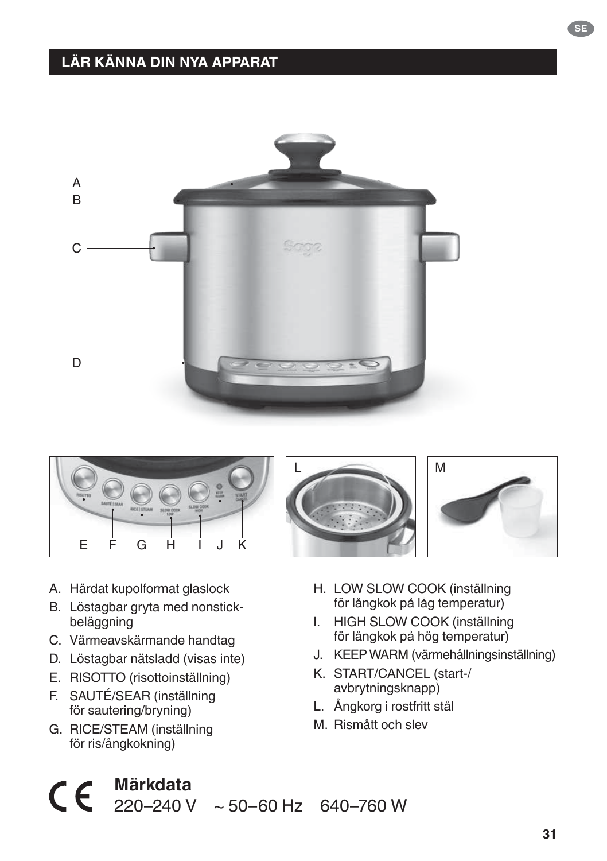# **LÄR KÄNNA DIN NYA APPARAT**









- A. Härdat kupolformat glaslock
- B. Löstagbar gryta med nonstickbeläggning
- C. Värmeavskärmande handtag
- D. Löstagbar nätsladd (visas inte)
- E. RISOTTO (risottoinställning)
- F. SAUTÉ/SEAR (inställning för sautering/bryning)
- G. RICE/STEAM (inställning för ris/ångkokning)

**Märkdata**

- H. LOW SLOW COOK (inställning för långkok på låg temperatur)
- I. HIGH SLOW COOK (inställning för långkok på hög temperatur)
- J. KEEP WARM (värmehållningsinställning)
- K. START/CANCEL (start-/ avbrytningsknapp)
- L. Ångkorg i rostfritt stål
- M. Rismått och slev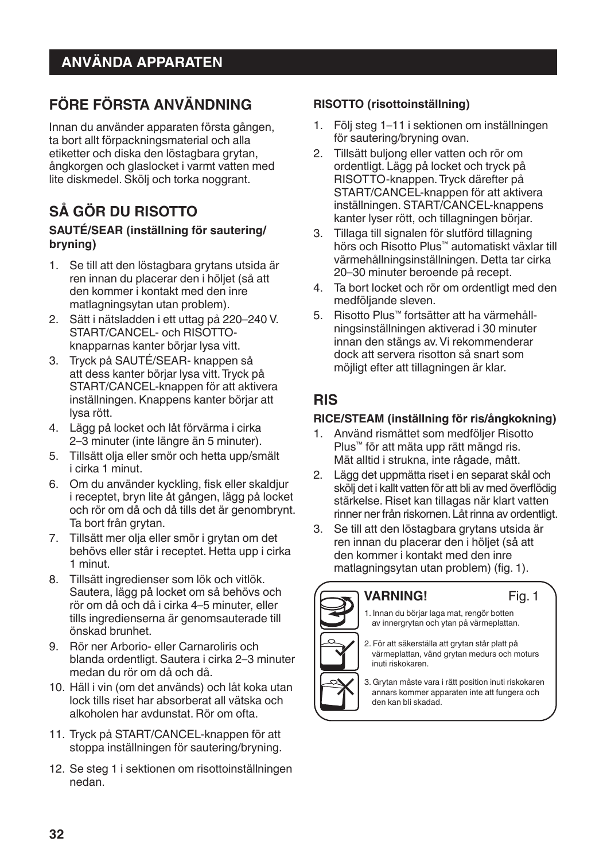# **FÖRE FÖRSTA ANVÄNDNING**

Innan du använder apparaten första gången, ta bort allt förpackningsmaterial och alla etiketter och diska den löstagbara grytan, ångkorgen och glaslocket i varmt vatten med lite diskmedel. Skölj och torka noggrant.

# **SÅ GÖR DU RISOTTO**

#### **SAUTÉ/SEAR (inställning för sautering/ bryning)**

- 1. Se till att den löstagbara grytans utsida är ren innan du placerar den i höljet (så att den kommer i kontakt med den inre matlagningsytan utan problem).
- 2. Sätt i nätsladden i ett uttag på 220–240 V. START/CANCEL- och RISOTTOknapparnas kanter börjar lysa vitt.
- 3. Tryck på SAUTÉ/SEAR- knappen så att dess kanter börjar lysa vitt. Tryck på START/CANCEL-knappen för att aktivera inställningen. Knappens kanter börjar att lysa rött.
- 4. Lägg på locket och låt förvärma i cirka 2–3 minuter (inte längre än 5 minuter).
- 5. Tillsätt olja eller smör och hetta upp/smält i cirka 1 minut.
- 6. Om du använder kyckling, fisk eller skaldjur i receptet, bryn lite åt gången, lägg på locket och rör om då och då tills det är genombrynt. Ta bort från grytan.
- 7. Tillsätt mer olja eller smör i grytan om det behövs eller står i receptet. Hetta upp i cirka 1 minut.
- 8. Tillsätt ingredienser som lök och vitlök. Sautera, lägg på locket om så behövs och rör om då och då i cirka 4–5 minuter, eller tills ingredienserna är genomsauterade till önskad brunhet.
- 9. Rör ner Arborio- eller Carnaroliris och blanda ordentligt. Sautera i cirka 2–3 minuter medan du rör om då och då.
- 10. Häll i vin (om det används) och låt koka utan lock tills riset har absorberat all vätska och alkoholen har avdunstat. Rör om ofta.
- 11. Tryck på START/CANCEL-knappen för att stoppa inställningen för sautering/bryning.
- 12. Se steg 1 i sektionen om risottoinställningen nedan.

#### **RISOTTO (risottoinställning)**

- 1. Följ steg 1–11 i sektionen om inställningen för sautering/bryning ovan.
- 2. Tillsätt buljong eller vatten och rör om ordentligt. Lägg på locket och tryck på RISOTTO-knappen. Tryck därefter på START/CANCEL-knappen för att aktivera inställningen. START/CANCEL-knappens kanter lyser rött, och tillagningen börjar.
- 3. Tillaga till signalen för slutförd tillagning hörs och Risotto Plus™ automatiskt växlar till värmehållningsinställningen. Detta tar cirka 20–30 minuter beroende på recept.
- 4. Ta bort locket och rör om ordentligt med den medföljande sleven.
- 5. Risotto Plus™ fortsätter att ha värmehållningsinställningen aktiverad i 30 minuter innan den stängs av. Vi rekommenderar dock att servera risotton så snart som möjligt efter att tillagningen är klar.

### **RIS**

#### **RICE/STEAM (inställning för ris/ångkokning)**

- 1. Använd rismåttet som medföljer Risotto Plus™ för att mäta upp rätt mängd ris. Mät alltid i strukna, inte rågade, mått.
- 2. Lägg det uppmätta riset i en separat skål och skölj det i kallt vatten för att bli av med överflödig stärkelse. Riset kan tillagas när klart vatten rinner ner från riskornen. Låt rinna av ordentligt.
- 3. Se till att den löstagbara grytans utsida är ren innan du placerar den i höljet (så att den kommer i kontakt med den inre matlagningsytan utan problem) (fig. 1).



#### Fig. 1

1. Innan du börjar laga mat, rengör botten av innergrytan och ytan på värmeplattan.

- 2. För att säkerställa att grytan står platt på värmeplattan, vänd grytan medurs och moturs inuti riskokaren.
- 3. Grytan måste vara i rätt position inuti riskokaren annars kommer apparaten inte att fungera och den kan bli skadad.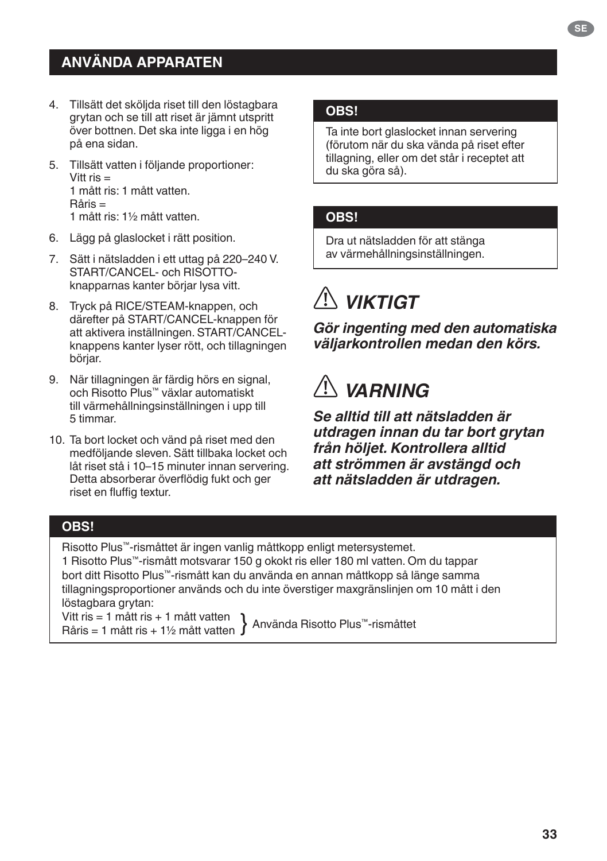# **ANVÄNDA APPARATEN**

- 4. Tillsätt det sköljda riset till den löstagbara grytan och se till att riset är jämnt utspritt över bottnen. Det ska inte ligga i en hög på ena sidan.
- 5. Tillsätt vatten i följande proportioner: Vitt  $ris =$ 1 mått ris: 1 mått vatten. Råris = 1 mått ris: 1½ mått vatten.
- 6. Lägg på glaslocket i rätt position.
- 7. Sätt i nätsladden i ett uttag på 220–240 V. START/CANCEL- och RISOTTOknapparnas kanter börjar lysa vitt.
- 8. Tryck på RICE/STEAM-knappen, och därefter på START/CANCEL-knappen för att aktivera inställningen. START/CANCELknappens kanter lyser rött, och tillagningen börjar.
- 9. När tillagningen är färdig hörs en signal, och Risotto Plus™ växlar automatiskt till värmehållningsinställningen i upp till 5 timmar.
- 10. Ta bort locket och vänd på riset med den medföljande sleven. Sätt tillbaka locket och låt riset stå i 10–15 minuter innan servering. Detta absorberar överflödig fukt och ger riset en fluffig textur.

#### **OBS!**

Ta inte bort glaslocket innan servering (förutom när du ska vända på riset efter tillagning, eller om det står i receptet att du ska göra så).

#### **OBS!**

Dra ut nätsladden för att stänga av värmehållningsinställningen.

# *VIKTIGT*

*Gör ingenting med den automatiska väljarkontrollen medan den körs.*

# *VARNING*

*Se alltid till att nätsladden är utdragen innan du tar bort grytan från höljet. Kontrollera alltid att strömmen är avstängd och att nätsladden är utdragen.*

#### **OBS!**

Risotto Plus™-rismåttet är ingen vanlig måttkopp enligt metersystemet.

1 Risotto Plus™-rismått motsvarar 150 g okokt ris eller 180 ml vatten. Om du tappar bort ditt Risotto Plus™-rismått kan du använda en annan måttkopp så länge samma tillagningsproportioner används och du inte överstiger maxgränslinjen om 10 mått i den löstagbara grytan:

Vitt ris = 1 mått ris + 1 mått vatten Vitt ris = 1 mått ris + 1 mätt vatten Använda Risotto Plus™-rismåttet<br>Råris = 1 mått ris + 1½ mått vatten Använda Risotto Plus™-rismåttet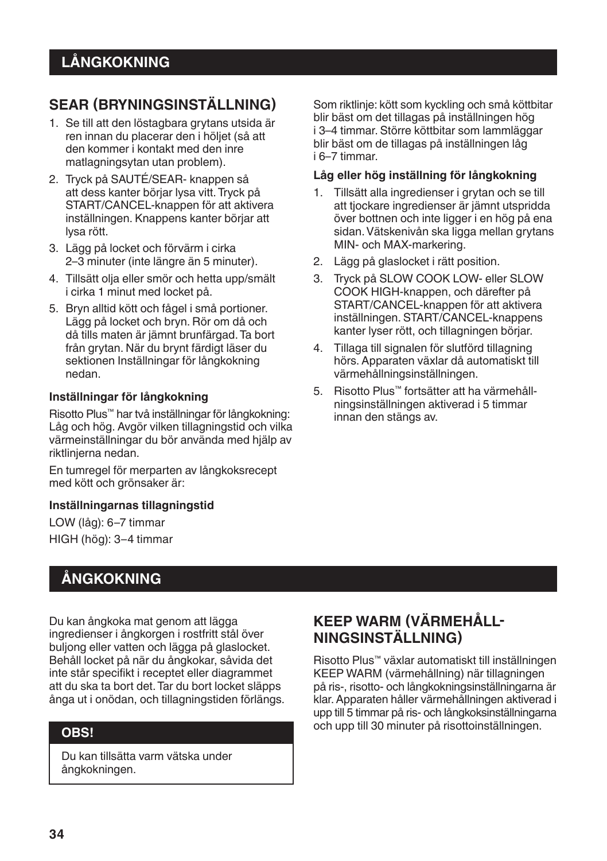# **SEAR (BRYNINGSINSTÄLLNING)**

- 1. Se till att den löstagbara grytans utsida är ren innan du placerar den i höljet (så att den kommer i kontakt med den inre matlagningsytan utan problem).
- 2. Tryck på SAUTÉ/SEAR- knappen så att dess kanter börjar lysa vitt. Tryck på START/CANCEL-knappen för att aktivera inställningen. Knappens kanter börjar att lysa rött.
- 3. Lägg på locket och förvärm i cirka 2–3 minuter (inte längre än 5 minuter).
- 4. Tillsätt olja eller smör och hetta upp/smält i cirka 1 minut med locket på.
- 5. Bryn alltid kött och fågel i små portioner. Lägg på locket och bryn. Rör om då och då tills maten är jämnt brunfärgad. Ta bort från grytan. När du brynt färdigt läser du sektionen Inställningar för långkokning nedan.

#### **Inställningar för långkokning**

Risotto Plus™ har två inställningar för långkokning: Låg och hög. Avgör vilken tillagningstid och vilka värmeinställningar du bör använda med hjälp av riktlinjerna nedan.

En tumregel för merparten av långkoksrecept med kött och grönsaker är:

#### **Inställningarnas tillagningstid**

LOW (låg): 6–7 timmar HIGH (hög): 3–4 timmar

# **ÅNGKOKNING**

Du kan ångkoka mat genom att lägga ingredienser i ångkorgen i rostfritt stål över buljong eller vatten och lägga på glaslocket. Behåll locket på när du ångkokar, såvida det inte står specifikt i receptet eller diagrammet att du ska ta bort det. Tar du bort locket släpps ånga ut i onödan, och tillagningstiden förlängs.

#### **OBS!**

Du kan tillsätta varm vätska under ångkokningen.

Som riktlinje: kött som kyckling och små köttbitar blir bäst om det tillagas på inställningen hög i 3–4 timmar. Större köttbitar som lammläggar blir bäst om de tillagas på inställningen låg i 6–7 timmar.

#### **Låg eller hög inställning för långkokning**

- 1. Tillsätt alla ingredienser i grytan och se till att tjockare ingredienser är jämnt utspridda över bottnen och inte ligger i en hög på ena sidan. Vätskenivån ska ligga mellan grytans MIN- och MAX-markering.
- 2. Lägg på glaslocket i rätt position.
- 3. Tryck på SLOW COOK LOW- eller SLOW COOK HIGH-knappen, och därefter på START/CANCEL-knappen för att aktivera inställningen. START/CANCEL-knappens kanter lyser rött, och tillagningen börjar.
- 4. Tillaga till signalen för slutförd tillagning hörs. Apparaten växlar då automatiskt till värmehållningsinställningen.
- 5. Risotto Plus™ fortsätter att ha värmehållningsinställningen aktiverad i 5 timmar innan den stängs av.

### **KEEP WARM (VÄRMEHÅLL� NINGSINSTÄLLNING)**

Risotto Plus™ växlar automatiskt till inställningen KEEP WARM (värmehållning) när tillagningen på ris-, risotto- och långkokningsinställningarna är klar. Apparaten håller värmehållningen aktiverad i upp till 5 timmar på ris- och långkoksinställningarna och upp till 30 minuter på risottoinställningen.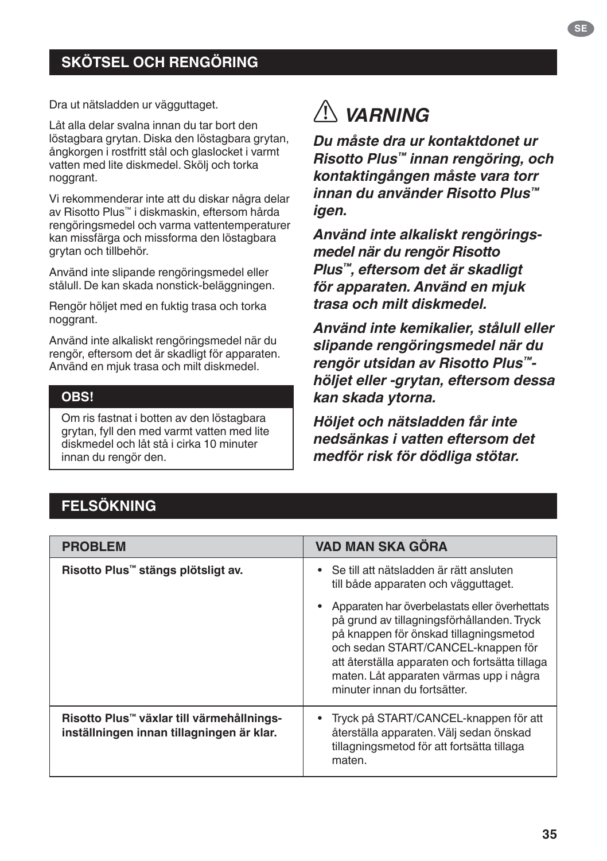# **SKÖTSEL OCH RENGÖRING**

Dra ut nätsladden ur vägguttaget.

Låt alla delar svalna innan du tar bort den löstagbara grytan. Diska den löstagbara grytan, ångkorgen i rostfritt stål och glaslocket i varmt vatten med lite diskmedel. Skölj och torka noggrant.

Vi rekommenderar inte att du diskar några delar av Risotto Plus™ i diskmaskin, eftersom hårda rengöringsmedel och varma vattentemperaturer kan missfärga och missforma den löstagbara grytan och tillbehör.

Använd inte slipande rengöringsmedel eller stålull. De kan skada nonstick-beläggningen.

Rengör höljet med en fuktig trasa och torka noggrant.

Använd inte alkaliskt rengöringsmedel när du rengör, eftersom det är skadligt för apparaten. Använd en mjuk trasa och milt diskmedel.

#### **OBS!**

Om ris fastnat i botten av den löstagbara grytan, fyll den med varmt vatten med lite diskmedel och låt stå i cirka 10 minuter innan du rengör den.

# *VARNING*

*Du måste dra ur kontaktdonet ur Risotto Plus™ innan rengöring, och kontaktingången måste vara torr innan du använder Risotto Plus™ igen.*

*Använd inte alkaliskt rengöringsmedel när du rengör Risotto Plus™, eftersom det är skadligt för apparaten. Använd en mjuk trasa och milt diskmedel.*

*Använd inte kemikalier, stålull eller slipande rengöringsmedel när du rengör utsidan av Risotto Plus™ höljet eller -grytan, eftersom dessa kan skada ytorna.*

*Höljet och nätsladden får inte nedsänkas i vatten eftersom det medför risk för dödliga stötar.*

### **FELSÖKNING**

| <b>PROBLEM</b>                                                                         | <b>VAD MAN SKA GÖRA</b>                                                                                                                                                                                                                                                                                  |
|----------------------------------------------------------------------------------------|----------------------------------------------------------------------------------------------------------------------------------------------------------------------------------------------------------------------------------------------------------------------------------------------------------|
| Risotto Plus™ stängs plötsligt av.                                                     | Se till att nätsladden är rätt ansluten<br>till både apparaten och vägguttaget.                                                                                                                                                                                                                          |
|                                                                                        | Apparaten har överbelastats eller överhettats<br>på grund av tillagningsförhållanden. Tryck<br>på knappen för önskad tillagningsmetod<br>och sedan START/CANCEL-knappen för<br>att återställa apparaten och fortsätta tillaga<br>maten. Låt apparaten värmas upp i några<br>minuter innan du fortsätter. |
| Risotto Plus™ växlar till värmehållnings-<br>inställningen innan tillagningen är klar. | Tryck på START/CANCEL-knappen för att<br>återställa apparaten. Välj sedan önskad<br>tillagningsmetod för att fortsätta tillaga<br>maten.                                                                                                                                                                 |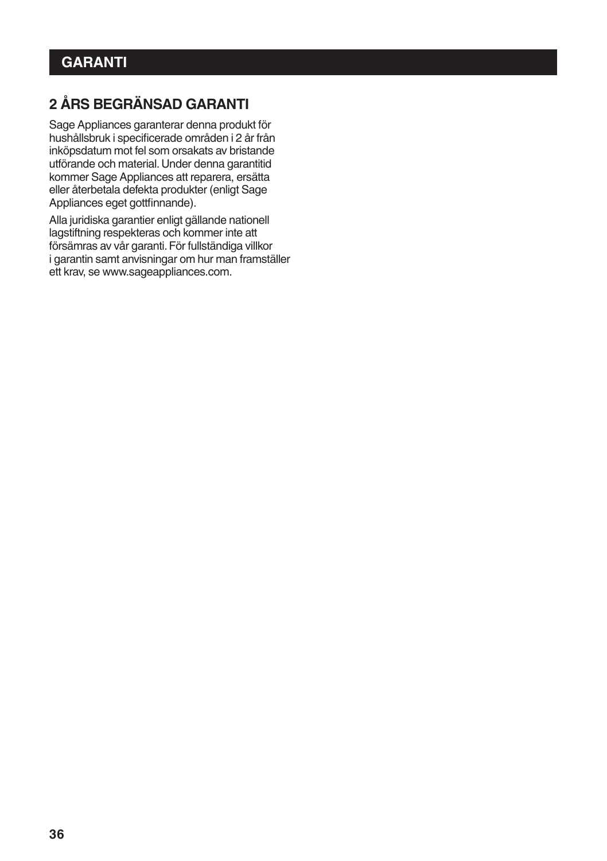# **2 ÅRS BEGRÄNSAD GARANTI**

Sage Appliances garanterar denna produkt för hushållsbruk i specificerade områden i 2 år från inköpsdatum mot fel som orsakats av bristande utförande och material. Under denna garantitid kommer Sage Appliances att reparera, ersätta eller återbetala defekta produkter (enligt Sage Appliances eget gottfinnande).

Alla juridiska garantier enligt gällande nationell lagstiftning respekteras och kommer inte att försämras av vår garanti. För fullständiga villkor i garantin samt anvisningar om hur man framställer ett krav, se www.sageappliances.com.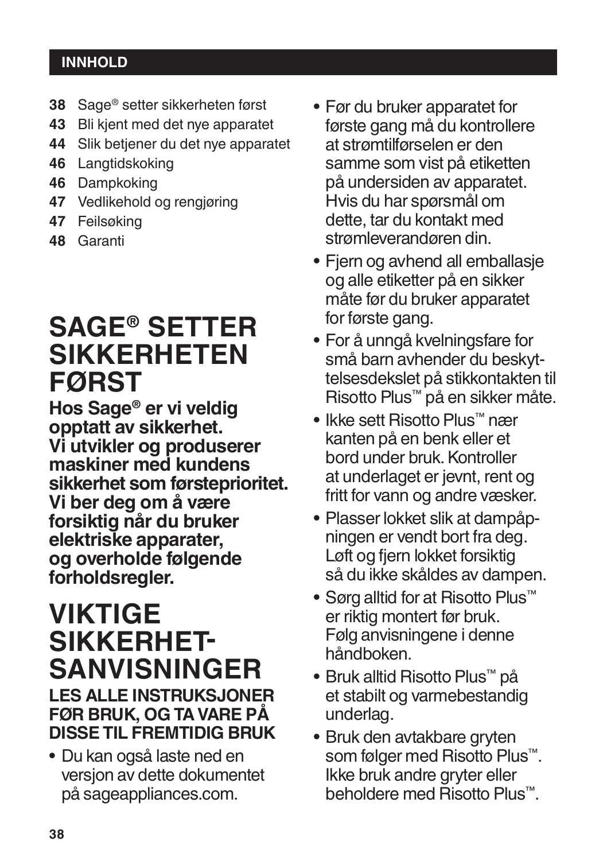## **INNHOLD**

- **38** Sage® setter sikkerheten først
- **43** Bli kjent med det nye apparatet
- **44** Slik betjener du det nye apparatet
- **46** Langtidskoking
- **46** Dampkoking
- **47** Vedlikehold og rengjøring
- **47** Feilsøking
- **48** Garanti

# **SAGE® SETTER SIKKERHETEN FØRST**

**Hos Sage® er vi veldig opptatt av sikkerhet. Vi utvikler og produserer maskiner med kundens sikkerhet som førsteprioritet. Vi ber deg om å være forsiktig når du bruker elektriske apparater, og overholde følgende forholdsregler.**

# **VIKTIGE<br>SIKKERHET-SIKKERHET SANVISNINGER**

# **LES ALLE INSTRUKSJONER FØR BRUK, OG TA VARE PÅ DISSE TIL FREMTIDIG BRUK**

• Du kan også laste ned en versjon av dette dokumentet på sageappliances.com.

- Før du bruker apparatet for første gang må du kontrollere at strømtilførselen er den samme som vist på etiketten på undersiden av apparatet. Hvis du har spørsmål om dette, tar du kontakt med strømleverandøren din.
- Fjern og avhend all emballasje og alle etiketter på en sikker måte før du bruker apparatet for første gang.
- For å unngå kvelningsfare for små barn avhender du beskyttelsesdekslet på stikkontakten til Risotto Plus™ på en sikker måte.
- Ikke sett Risotto Plus™ nær kanten på en benk eller et bord under bruk. Kontroller at underlaget er jevnt, rent og fritt for vann og andre væsker.
- Plasser lokket slik at dampåpningen er vendt bort fra deg. Løft og fjern lokket forsiktig så du ikke skåldes av dampen.
- Sørg alltid for at Risotto Plus™ er riktig montert før bruk. Følg anvisningene i denne håndboken.
- Bruk alltid Risotto Plus™ på et stabilt og varmebestandig underlag.
- Bruk den avtakbare gryten som følger med Risotto Plus™. Ikke bruk andre gryter eller beholdere med Risotto Plus™.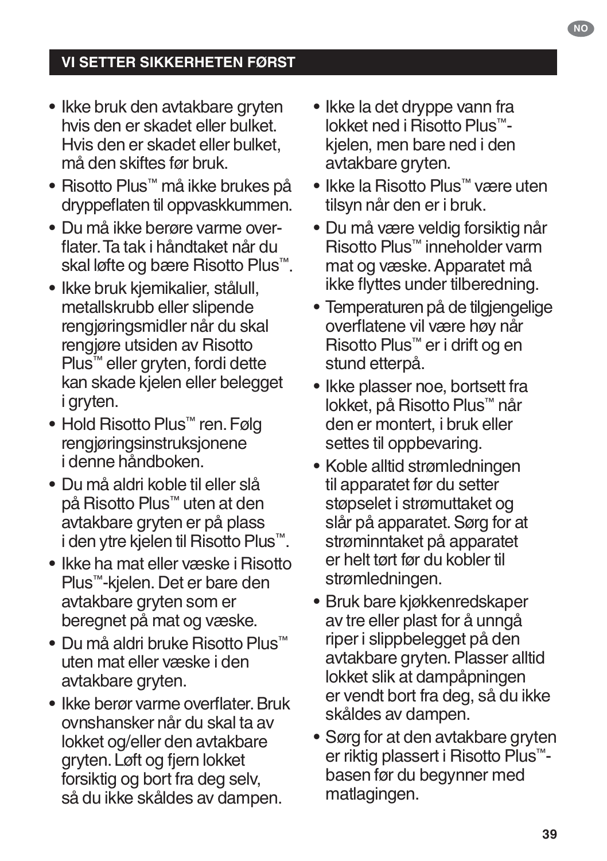- Ikke bruk den avtakbare gryten hvis den er skadet eller bulket. Hvis den er skadet eller bulket, må den skiftes før bruk.
- Risotto Plus™ må ikke brukes på dryppeflaten til oppvaskkummen.
- Du må ikke berøre varme overflater. Ta tak i håndtaket når du skal løfte og bære Risotto Plus™.
- Ikke bruk kjemikalier, stålull, metallskrubb eller slipende rengjøringsmidler når du skal rengjøre utsiden av Risotto Plus™ eller gryten, fordi dette kan skade kjelen eller belegget i gryten.
- Hold Risotto Plus™ ren. Følg rengjøringsinstruksjonene i denne håndboken.
- Du må aldri koble til eller slå på Risotto Plus™ uten at den avtakbare gryten er på plass i den ytre kjelen til Risotto Plus™.
- Ikke ha mat eller væske i Risotto Plus™-kjelen. Det er bare den avtakbare gryten som er beregnet på mat og væske.
- Du må aldri bruke Risotto Plus™ uten mat eller væske i den avtakbare gryten.
- Ikke berør varme overflater. Bruk ovnshansker når du skal ta av lokket og/eller den avtakbare gryten. Løft og fjern lokket forsiktig og bort fra deg selv, så du ikke skåldes av dampen.
- Ikke la det dryppe vann fra lokket ned i Risotto Plus™ kjelen, men bare ned i den avtakbare gryten.
- Ikke la Risotto Plus™ være uten tilsyn når den er i bruk.
- Du må være veldig forsiktig når Risotto Plus™ inneholder varm mat og væske. Apparatet må ikke flyttes under tilberedning.
- Temperaturen på de tilgjengelige overflatene vil være høy når Risotto Plus™ er i drift og en stund etterpå.
- Ikke plasser noe, bortsett fra lokket, på Risotto Plus™ når den er montert, i bruk eller settes til oppbevaring.
- Koble alltid strømledningen til apparatet før du setter støpselet i strømuttaket og slår på apparatet. Sørg for at strøminntaket på apparatet er helt tørt før du kobler til strømledningen.
- Bruk bare kjøkkenredskaper av tre eller plast for å unngå riper i slippbelegget på den avtakbare gryten. Plasser alltid lokket slik at dampåpningen er vendt bort fra deg, så du ikke skåldes av dampen.
- Sørg for at den avtakbare gryten er riktig plassert i Risotto Plus™ basen før du begynner med matlagingen.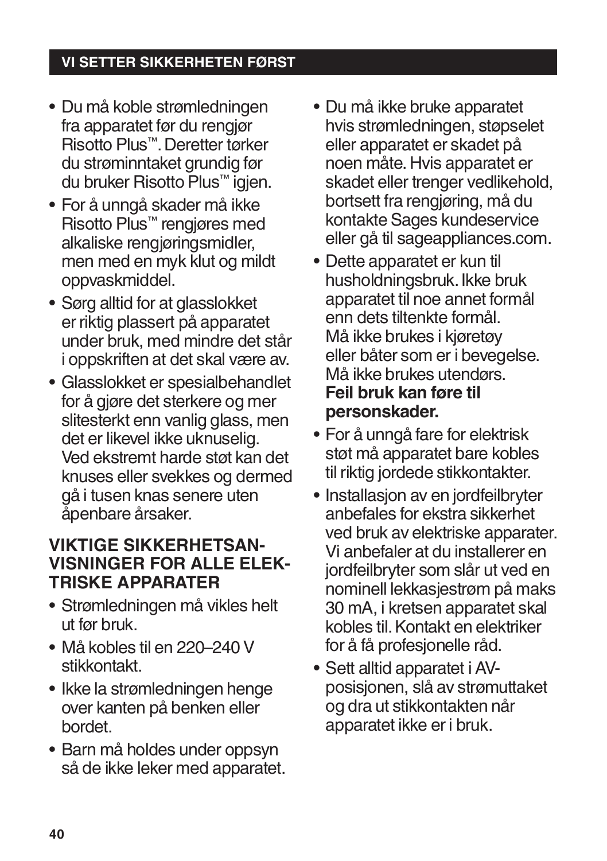- Du må koble strømledningen fra apparatet før du rengjør Risotto Plus™. Deretter tørker du strøminntaket grundig før du bruker Risotto Plus™ igjen.
- For å unngå skader må ikke Risotto Plus™ rengjøres med alkaliske rengjøringsmidler, men med en myk klut og mildt oppvaskmiddel.
- Sørg alltid for at glasslokket er riktig plassert på apparatet under bruk, med mindre det står i oppskriften at det skal være av.
- Glasslokket er spesialbehandlet for å gjøre det sterkere og mer slitesterkt enn vanlig glass, men det er likevel ikke uknuselig. Ved ekstremt harde støt kan det knuses eller svekkes og dermed gå i tusen knas senere uten åpenbare årsaker.

# **VIKTIGE SIKKERHETSAN-VISNINGER FOR ALLE ELEK-TRISKE APPARATER**

- Strømledningen må vikles helt ut før bruk.
- Må kobles til en 220–240V stikkontakt.
- Ikke la strømledningen henge over kanten på benken eller bordet.
- Barn må holdes under oppsyn så de ikke leker med apparatet.
- Du må ikke bruke apparatet hvis strømledningen, støpselet eller apparatet er skadet på noen måte. Hvis apparatet er skadet eller trenger vedlikehold, bortsett fra rengjøring, må du kontakte Sages kundeservice eller gå til sageappliances.com.
- Dette apparatet er kun til husholdningsbruk. Ikke bruk apparatet til noe annet formål enn dets tiltenkte formål. Må ikke brukes i kjøretøy eller båter som er i bevegelse. Må ikke brukes utendørs. **Feil bruk kan føre til personskader.**
- For å unngå fare for elektrisk støt må apparatet bare kobles til riktig jordede stikkontakter.
- Installasjon av en jordfeilbryter anbefales for ekstra sikkerhet ved bruk av elektriske apparater. Vi anbefaler at du installerer en jordfeilbryter som slår ut ved en nominell lekkasjestrøm på maks 30 mA, i kretsen apparatet skal kobles til. Kontakt en elektriker for å få profesjonelle råd.
- Sett alltid apparatet i AVposisjonen, slå av strømuttaket og dra ut stikkontakten når apparatet ikke er i bruk.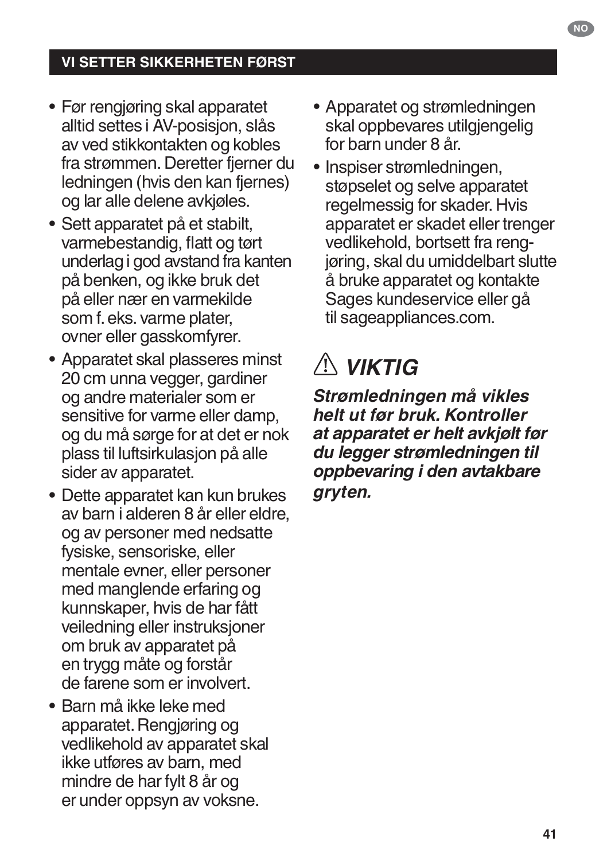- Før rengjøring skal apparatet alltid settes i AV-posisjon, slås av ved stikkontakten og kobles fra strømmen. Deretter fjerner du ledningen (hvis den kan fjernes) og lar alle delene avkjøles.
- Sett apparatet på et stabilt, varmebestandig, flatt og tørt underlag i god avstand fra kanten på benken, og ikke bruk det på eller nær en varmekilde som f. eks. varme plater, ovner eller gasskomfyrer.
- Apparatet skal plasseres minst 20 cm unna vegger, gardiner og andre materialer som er sensitive for varme eller damp, og du må sørge for at det er nok plass til luftsirkulasjon på alle sider av apparatet.
- Dette apparatet kan kun brukes av barn i alderen 8 år eller eldre, og av personer med nedsatte fysiske, sensoriske, eller mentale evner, eller personer med manglende erfaring og kunnskaper, hvis de har fått veiledning eller instruksjoner om bruk av apparatet på en trygg måte og forstår de farene som er involvert.
- Barn må ikke leke med apparatet. Rengjøring og vedlikehold av apparatet skal ikke utføres av barn, med mindre de har fylt 8 år og er under oppsyn av voksne.
- Apparatet og strømledningen skal oppbevares utilgiengelig for barn under 8 år.
- Inspiser strømledningen, støpselet og selve apparatet regelmessig for skader. Hvis apparatet er skadet eller trenger vedlikehold, bortsett fra rengjøring, skal du umiddelbart slutte å bruke apparatet og kontakte Sages kundeservice eller gå til sageappliances.com.

# *VIKTIG*

*Strømledningen må vikles helt ut før bruk. Kontroller at apparatet er helt avkjølt før du legger strømledningen til oppbevaring i den avtakbare gryten.*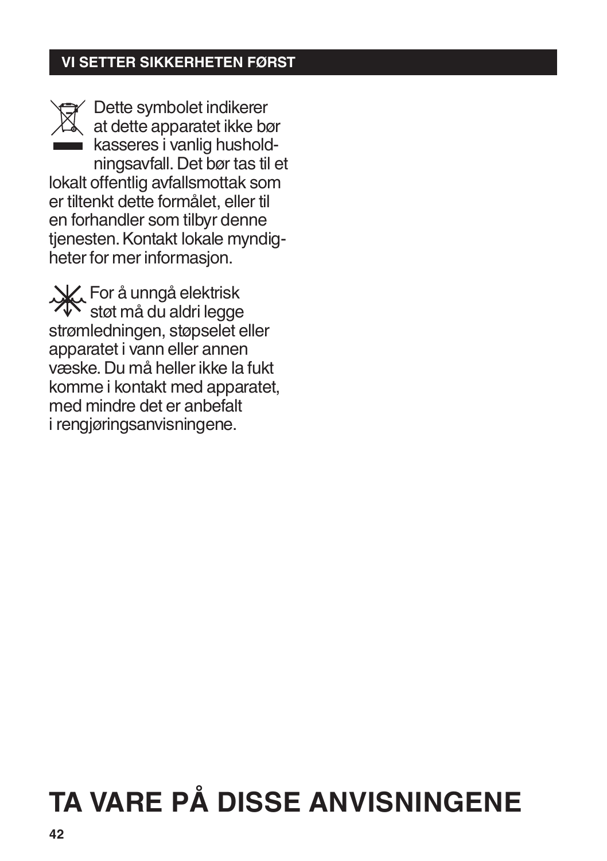Dette symbolet indikerer at dette apparatet ikke bør kasseres i vanlig husholdningsavfall. Det bør tas til et lokalt offentlig avfallsmottak som er tiltenkt dette formålet, eller til en forhandler som tilbyr denne tjenesten. Kontakt lokale myndigheter for mer informasjon.

For å unngå elektrisk støt må du aldri legge strømledningen, støpselet eller apparatet i vann eller annen væske. Du må heller ikke la fukt komme i kontakt med apparatet, med mindre det er anbefalt i rengjøringsanvisningene.

# **TA VARE PÅ DISSE ANVISNINGENE**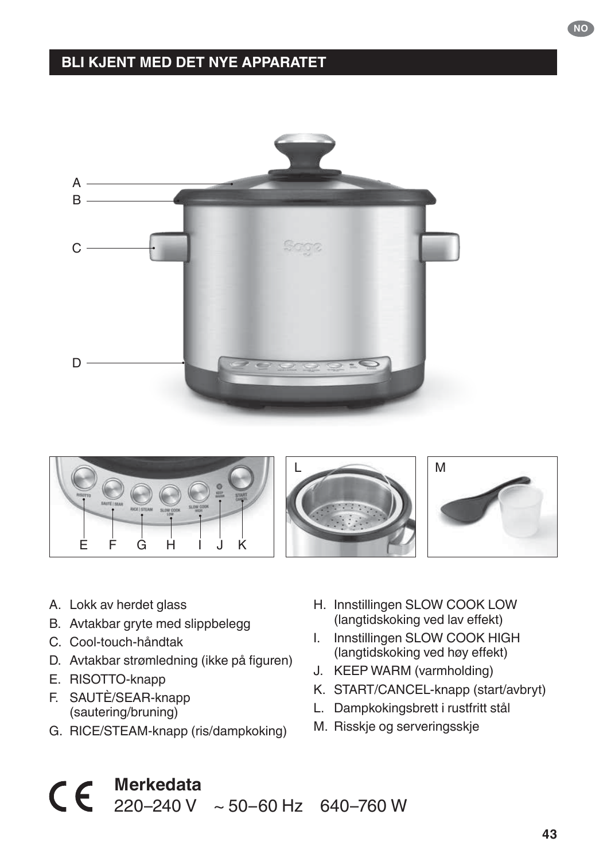### **BLI KJENT MED DET NYE APPARATET**





- B. Avtakbar gryte med slippbelegg
- C. Cool-touch-håndtak
- D. Avtakbar strømledning (ikke på figuren)
- E. RISOTTO-knapp
- F. SAUTÈ/SEAR-knapp (sautering/bruning)
- G. RICE/STEAM-knapp (ris/dampkoking)
- H. Innstillingen SLOW COOK LOW (langtidskoking ved lav effekt)
- I. Innstillingen SLOW COOK HIGH (langtidskoking ved høy effekt)
- J. KEEP WARM (varmholding)
- K. START/CANCEL-knapp (start/avbryt)
- L. Dampkokingsbrett i rustfritt stål
- M. Risskje og serveringsskje

# A. Lokk av herdet glass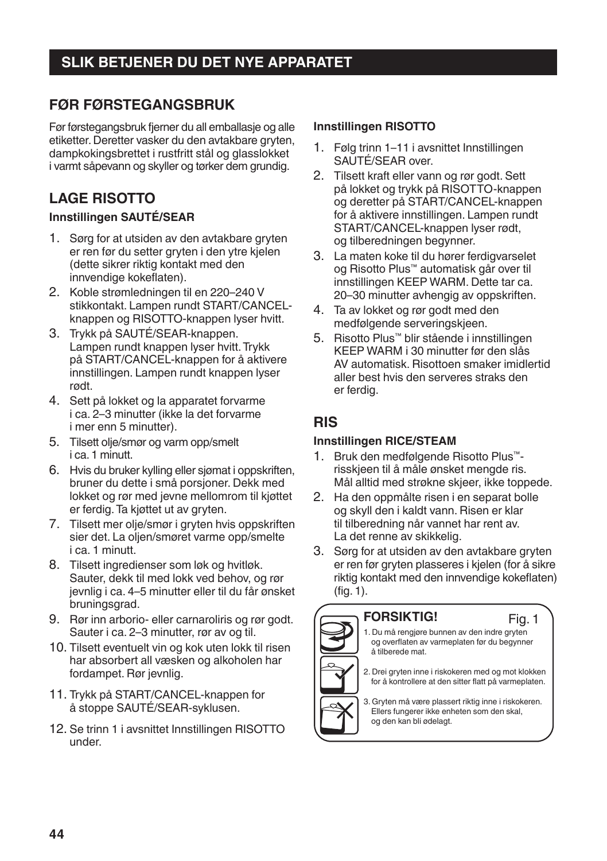# **SLIK BETJENER DU DET NYE APPARATET**

#### **FØR FØRSTEGANGSBRUK**

Før førstegangsbruk fjerner du all emballasje og alle etiketter. Deretter vasker du den avtakbare gryten, dampkokingsbrettet i rustfritt stål og glasslokket i varmt såpevann og skyller og tørker dem grundig.

### **LAGE RISOTTO**

#### **Innstillingen SAUTÉ/SEAR**

- 1. Sørg for at utsiden av den avtakbare gryten er ren før du setter gryten i den ytre kjelen (dette sikrer riktig kontakt med den innvendige kokeflaten).
- 2. Koble strømledningen til en 220–240 V stikkontakt. Lampen rundt START/CANCELknappen og RISOTTO-knappen lyser hvitt.
- 3. Trykk på SAUTÉ/SEAR-knappen. Lampen rundt knappen lyser hvitt. Trykk på START/CANCEL-knappen for å aktivere innstillingen. Lampen rundt knappen lyser rødt.
- 4. Sett på lokket og la apparatet forvarme i ca. 2–3 minutter (ikke la det forvarme i mer enn 5 minutter).
- 5. Tilsett olje/smør og varm opp/smelt i ca. 1 minutt.
- 6. Hvis du bruker kylling eller sjømat i oppskriften, bruner du dette i små porsjoner. Dekk med lokket og rør med jevne mellomrom til kjøttet er ferdig. Ta kjøttet ut av gryten.
- 7. Tilsett mer olje/smør i gryten hvis oppskriften sier det. La oljen/smøret varme opp/smelte i ca. 1 minutt.
- 8. Tilsett ingredienser som løk og hvitløk. Sauter, dekk til med lokk ved behov, og rør jevnlig i ca. 4–5 minutter eller til du får ønsket bruningsgrad.
- 9. Rør inn arborio- eller carnaroliris og rør godt. Sauter i ca. 2–3 minutter, rør av og til.
- 10. Tilsett eventuelt vin og kok uten lokk til risen har absorbert all væsken og alkoholen har fordampet. Rør jevnlig.
- 11. Trykk på START/CANCEL-knappen for å stoppe SAUTÉ/SEAR-syklusen.
- 12. Se trinn 1 i avsnittet Innstillingen RISOTTO under.

#### **Innstillingen RISOTTO**

- 1. Følg trinn 1–11 i avsnittet Innstillingen SAUTÉ/SEAR over.
- 2. Tilsett kraft eller vann og rør godt. Sett på lokket og trykk på RISOTTO-knappen og deretter på START/CANCEL-knappen for å aktivere innstillingen. Lampen rundt START/CANCEL-knappen lyser rødt, og tilberedningen begynner.
- 3. La maten koke til du hører ferdigvarselet og Risotto Plus™ automatisk går over til innstillingen KEEP WARM. Dette tar ca. 20–30 minutter avhengig av oppskriften.
- 4. Ta av lokket og rør godt med den medfølgende serveringskjeen.
- 5. Risotto Plus™ blir stående i innstillingen KEEP WARM i 30 minutter før den slås AV automatisk. Risottoen smaker imidlertid aller best hvis den serveres straks den er ferdig.

#### **RIS**

#### **Innstillingen RICE/STEAM**

- 1. Bruk den medfølgende Risotto Plus™ risskjeen til å måle ønsket mengde ris. Mål alltid med strøkne skjeer, ikke toppede.
- 2. Ha den oppmålte risen i en separat bolle og skyll den i kaldt vann. Risen er klar til tilberedning når vannet har rent av. La det renne av skikkelig.
- 3. Sørg for at utsiden av den avtakbare gryten er ren før gryten plasseres i kjelen (for å sikre riktig kontakt med den innvendige kokeflaten) (fig. 1).

#### **FORSIKTIG!**



1. Du må rengjøre bunnen av den indre gryten og overflaten av varmeplaten før du begynner å tilberede mat.

- 2. Drei gryten inne i riskokeren med og mot klokken for å kontrollere at den sitter flatt på varmeplaten.
- 3. Gryten må være plassert riktig inne i riskokeren. Ellers fungerer ikke enheten som den skal, og den kan bli ødelagt.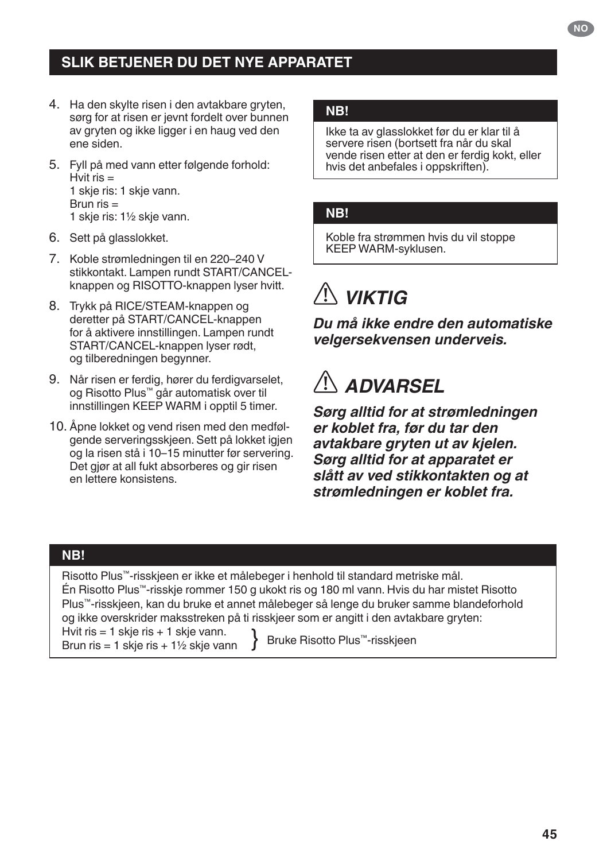### **SLIK BETJENER DU DET NYE APPARATET**

- 4. Ha den skylte risen i den avtakbare gryten, sørg for at risen er jevnt fordelt over bunnen av gryten og ikke ligger i en haug ved den ene siden.
- 5. Fyll på med vann etter følgende forhold: Hvit ris  $=$ 1 skje ris: 1 skje vann. Brun  $ris =$ 1 skje ris: 1½ skje vann.
- 6. Sett på glasslokket.
- 7. Koble strømledningen til en 220–240 V stikkontakt. Lampen rundt START/CANCELknappen og RISOTTO-knappen lyser hvitt.
- 8. Trykk på RICE/STEAM-knappen og deretter på START/CANCEL-knappen for å aktivere innstillingen. Lampen rundt START/CANCEL-knappen lyser rødt. og tilberedningen begynner.
- 9. Når risen er ferdig, hører du ferdigvarselet, og Risotto Plus™ går automatisk over til innstillingen KEEP WARM i opptil 5 timer.
- 10. Åpne lokket og vend risen med den medfølgende serveringsskjeen. Sett på lokket igjen og la risen stå i 10–15 minutter før servering. Det gjør at all fukt absorberes og gir risen en lettere konsistens.

#### **NB!**

Ikke ta av glasslokket før du er klar til å servere risen (bortsett fra når du skal vende risen etter at den er ferdig kokt, eller hvis det anbefales i oppskriften).

#### **NB!**

Koble fra strømmen hvis du vil stoppe KEEP WARM-syklusen.

# *VIKTIG*

*Du må ikke endre den automatiske velgersekvensen underveis.*

# *ADVARSEL*

*Sørg alltid for at strømledningen er koblet fra, før du tar den avtakbare gryten ut av kjelen. Sørg alltid for at apparatet er slått av ved stikkontakten og at strømledningen er koblet fra.*

#### **NB!**

Risotto Plus™-risskjeen er ikke et målebeger i henhold til standard metriske mål. Én Risotto Plus™-risskje rommer 150 g ukokt ris og 180 ml vann. Hvis du har mistet Risotto Plus™-risskjeen, kan du bruke et annet målebeger så lenge du bruker samme blandeforhold og ikke overskrider maksstreken på ti risskjeer som er angitt i den avtakbare gryten: Hvit ris  $= 1$  skje ris  $+ 1$  skje vann.

 $B$ run ris = 1 skje ris + 1  $\frac{1}{2}$  skje vann  $\left.\begin{array}{c} \end{array}\right\}$  Bruke Risotto Plus™-risskjeen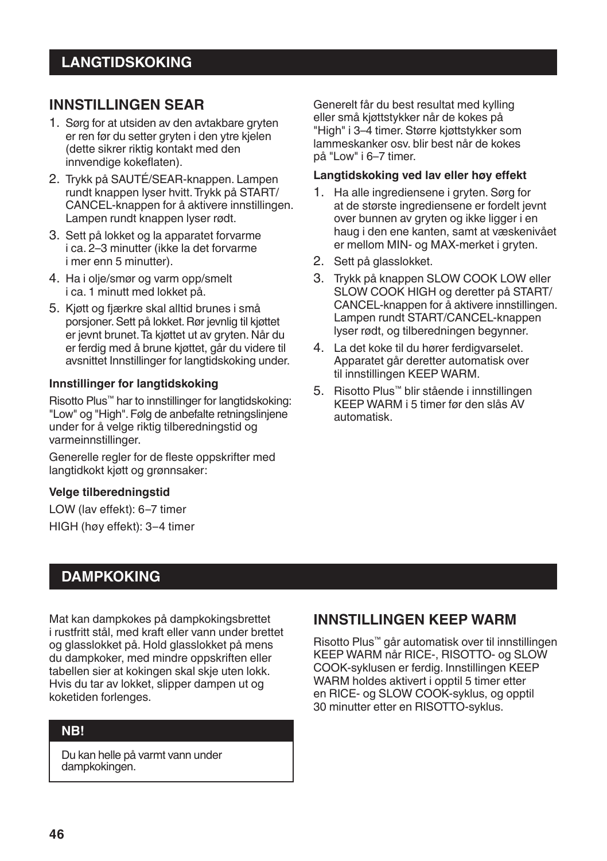#### **INNSTILLINGEN SEAR**

- 1. Sørg for at utsiden av den avtakbare gryten er ren før du setter gryten i den ytre kjelen (dette sikrer riktig kontakt med den innvendige kokeflaten).
- 2. Trykk på SAUTÉ/SEAR-knappen. Lampen rundt knappen lyser hvitt. Trykk på START/ CANCEL-knappen for å aktivere innstillingen. Lampen rundt knappen lyser rødt.
- 3. Sett på lokket og la apparatet forvarme i ca. 2–3 minutter (ikke la det forvarme i mer enn 5 minutter).
- 4. Ha i olje/smør og varm opp/smelt i ca. 1 minutt med lokket på.
- 5. Kjøtt og fjærkre skal alltid brunes i små porsjoner. Sett på lokket. Rør jevnlig til kjøttet er jevnt brunet. Ta kjøttet ut av gryten. Når du er ferdig med å brune kjøttet, går du videre til avsnittet Innstillinger for langtidskoking under.

#### **Innstillinger for langtidskoking**

Risotto Plus™ har to innstillinger for langtidskoking: "Low" og "High". Følg de anbefalte retningslinjene under for å velge riktig tilberedningstid og varmeinnstillinger.

Generelle regler for de fleste oppskrifter med langtidkokt kjøtt og grønnsaker:

#### **Velge tilberedningstid**

LOW (lav effekt): 6–7 timer HIGH (høy effekt): 3–4 timer Generelt får du best resultat med kylling eller små kjøttstykker når de kokes på "High" i 3–4 timer. Større kjøttstykker som lammeskanker osv. blir best når de kokes på "Low" i 6–7 timer.

#### **Langtidskoking ved lav eller høy effekt**

- 1. Ha alle ingrediensene i gryten. Sørg for at de største ingrediensene er fordelt jevnt over bunnen av gryten og ikke ligger i en haug i den ene kanten, samt at væskenivået er mellom MIN- og MAX-merket i gryten.
- 2. Sett på glasslokket.
- 3. Trykk på knappen SLOW COOK LOW eller SLOW COOK HIGH og deretter på START/ CANCEL-knappen for å aktivere innstillingen. Lampen rundt START/CANCEL-knappen lyser rødt, og tilberedningen begynner.
- 4. La det koke til du hører ferdigvarselet. Apparatet går deretter automatisk over til innstillingen KEEP WARM.
- 5. Risotto Plus™ blir stående i innstillingen KEEP WARM i 5 timer før den slås AV automatisk.

#### **DAMPKOKING**

Mat kan dampkokes på dampkokingsbrettet i rustfritt stål, med kraft eller vann under brettet og glasslokket på. Hold glasslokket på mens du dampkoker, med mindre oppskriften eller tabellen sier at kokingen skal skje uten lokk. Hvis du tar av lokket, slipper dampen ut og koketiden forlenges.

#### **NB!**

Du kan helle på varmt vann under dampkokingen.

#### **INNSTILLINGEN KEEP WARM**

Risotto Plus™ går automatisk over til innstillingen KEEP WARM når RICE-, RISOTTO- og SLOW COOK-syklusen er ferdig. Innstillingen KEEP WARM holdes aktivert i opptil 5 timer etter en RICE- og SLOW COOK-syklus, og opptil 30 minutter etter en RISOTTO-syklus.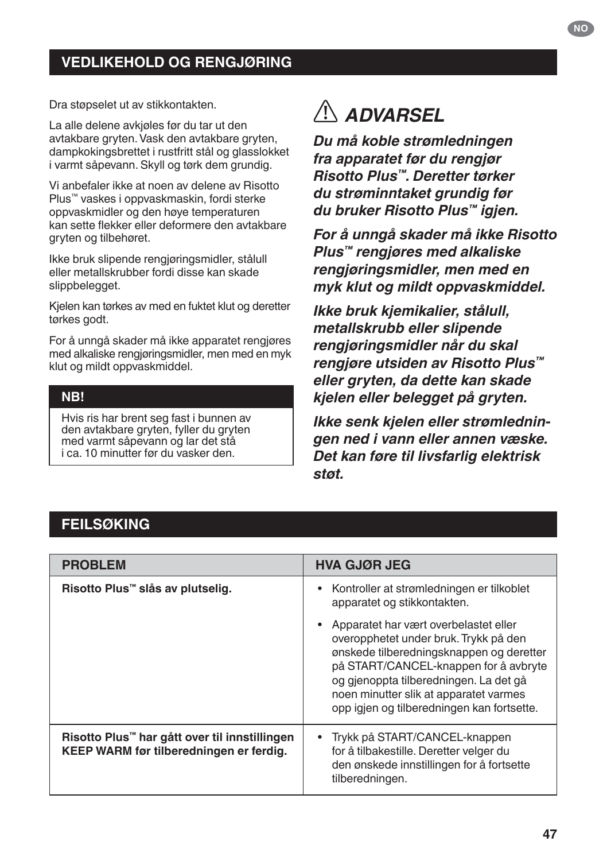### **VEDLIKEHOLD OG RENGJØRING**

Dra støpselet ut av stikkontakten.

La alle delene avkjøles før du tar ut den avtakbare gryten. Vask den avtakbare gryten, dampkokingsbrettet i rustfritt stål og glasslokket i varmt såpevann. Skyll og tørk dem grundig.

Vi anbefaler ikke at noen av delene av Risotto Plus™ vaskes i oppvaskmaskin, fordi sterke oppvaskmidler og den høye temperaturen kan sette flekker eller deformere den avtakbare gryten og tilbehøret.

Ikke bruk slipende rengjøringsmidler, stålull eller metallskrubber fordi disse kan skade slippbelegget.

Kjelen kan tørkes av med en fuktet klut og deretter tørkes godt.

For å unngå skader må ikke apparatet rengjøres med alkaliske rengjøringsmidler, men med en myk klut og mildt oppvaskmiddel.

#### **NB!**

Hvis ris har brent seg fast i bunnen av den avtakbare gryten, fyller du gryten med varmt såpevann og lar det stå i ca. 10 minutter før du vasker den.

# *ADVARSEL*

*Du må koble strømledningen fra apparatet før du rengjør Risotto Plus™. Deretter tørker du strøminntaket grundig før du bruker Risotto Plus™ igjen.*

*For å unngå skader må ikke Risotto Plus™ rengjøres med alkaliske rengjøringsmidler, men med en myk klut og mildt oppvaskmiddel.*

*Ikke bruk kjemikalier, stålull, metallskrubb eller slipende rengjøringsmidler når du skal rengjøre utsiden av Risotto Plus™ eller gryten, da dette kan skade kjelen eller belegget på gryten.*

*Ikke senk kjelen eller strømledningen ned i vann eller annen væske. Det kan føre til livsfarlig elektrisk støt.*

#### **FEILSØKING**

| <b>PROBLEM</b>                                                                                       | <b>HVA GJØR JEG</b>                                                                                                                                                                                                                                                                                   |
|------------------------------------------------------------------------------------------------------|-------------------------------------------------------------------------------------------------------------------------------------------------------------------------------------------------------------------------------------------------------------------------------------------------------|
| Risotto Plus™ slås av plutselig.                                                                     | • Kontroller at strømledningen er tilkoblet<br>apparatet og stikkontakten.                                                                                                                                                                                                                            |
|                                                                                                      | Apparatet har vært overbelastet eller<br>overopphetet under bruk. Trykk på den<br>ønskede tilberedningsknappen og deretter<br>på START/CANCEL-knappen for å avbryte<br>og gjenoppta tilberedningen. La det gå<br>noen minutter slik at apparatet varmes<br>opp igjen og tilberedningen kan fortsette. |
| Risotto Plus <sup>™</sup> har gått over til innstillingen<br>KEEP WARM før tilberedningen er ferdig. | • Trykk på START/CANCEL-knappen<br>for å tilbakestille. Deretter velger du<br>den ønskede innstillingen for å fortsette<br>tilberedningen.                                                                                                                                                            |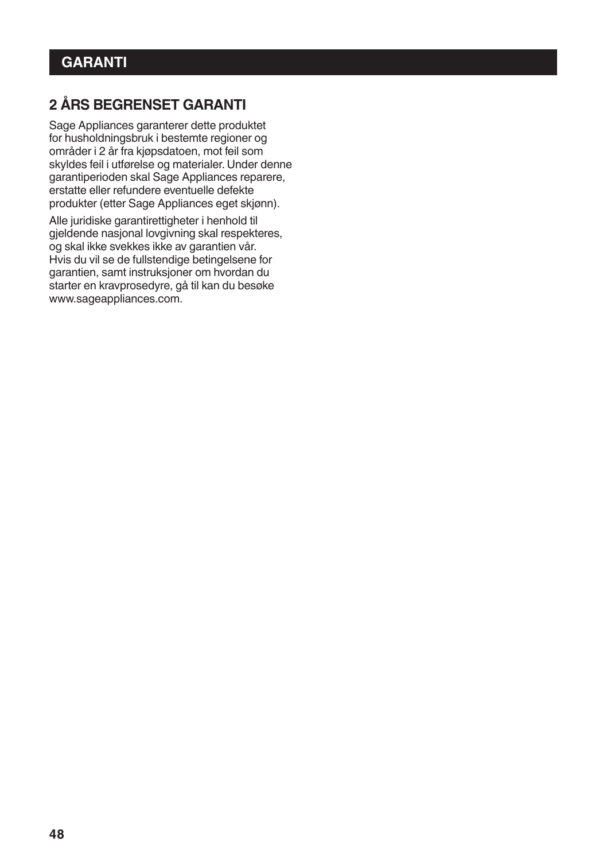# **2 ÅRS BEGRENSET GARANTI**

Sage Appliances garanterer dette produktet for husholdningsbruk i bestemte regioner og områder i 2 år fra kjøpsdatoen, mot feil som skyldes feil i utførelse og materialer. Under denne garantiperioden skal Sage Appliances reparere, erstatte eller refundere eventuelle defekte produkter (etter Sage Appliances eget skjønn).

Alle juridiske garantirettigheter i henhold til gjeldende nasjonal lovgivning skal respekteres, og skal ikke svekkes ikke av garantien vår. Hvis du vil se de fullstendige betingelsene for garantien, samt instruksjoner om hvordan du starter en kravprosedyre, gå til kan du besøke www.sageappliances.com.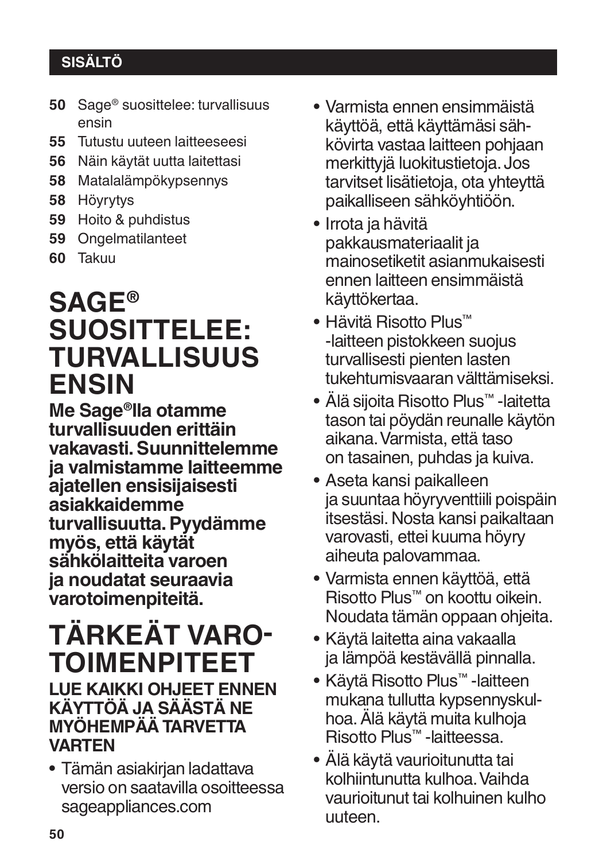# **SISÄLTÖ**

- **50** Sage® suosittelee: turvallisuus ensin
- **55** Tutustu uuteen laitteeseesi
- **56** Näin käytät uutta laitettasi
- **58** Matalalämpökypsennys
- **58** Höyrytys
- **59** Hoito & puhdistus
- **59** Ongelmatilanteet
- **60** Takuu

# **SAGE® SUOSITTELEE: TURVALLISUUS ENSIN**

**Me Sage®lla otamme turvallisuuden erittäin vakavasti. Suunnittelemme ja valmistamme laitteemme ajatellen ensisijaisesti asiakkaidemme turvallisuutta. Pyydämme myös, että käytät sähkölaitteita varoen ja noudatat seuraavia varotoimenpiteitä.**

# **TÄRKEÄT VARO� TOIMENPITEET**

# **LUE KAIKKI OHJEET ENNEN KÄYTTÖÄ JA SÄÄSTÄ NE MYÖHEMPÄÄ TARVETTA VARTEN**

• Tämän asiakirjan ladattava versio on saatavilla osoitteessa sageappliances.com

- Varmista ennen ensimmäistä käyttöä, että käyttämäsi sähkövirta vastaa laitteen pohjaan merkittyjä luokitustietoja. Jos tarvitset lisätietoja, ota yhteyttä paikalliseen sähköyhtiöön.
- Irrota ja hävitä pakkausmateriaalit ja mainosetiketit asianmukaisesti ennen laitteen ensimmäistä käyttökertaa.
- Hävitä Risotto Plus™ -laitteen pistokkeen suojus turvallisesti pienten lasten tukehtumisvaaran välttämiseksi.
- Älä sijoita Risotto Plus™ -laitetta tason tai pöydän reunalle käytön aikana. Varmista, että taso on tasainen, puhdas ja kuiva.
- Aseta kansi paikalleen ja suuntaa höyryventtiili poispäin itsestäsi. Nosta kansi paikaltaan varovasti, ettei kuuma höyry aiheuta palovammaa.
- Varmista ennen käyttöä, että Risotto Plus™ on koottu oikein. Noudata tämän oppaan ohjeita.
- Käytä laitetta aina vakaalla ja lämpöä kestävällä pinnalla.
- Käytä Risotto Plus™ -laitteen mukana tullutta kypsennyskulhoa. Älä käytä muita kulhoja Risotto Plus™ -laitteessa.
- Älä käytä vaurioitunutta tai kolhiintunutta kulhoa. Vaihda vaurioitunut tai kolhuinen kulho uuteen.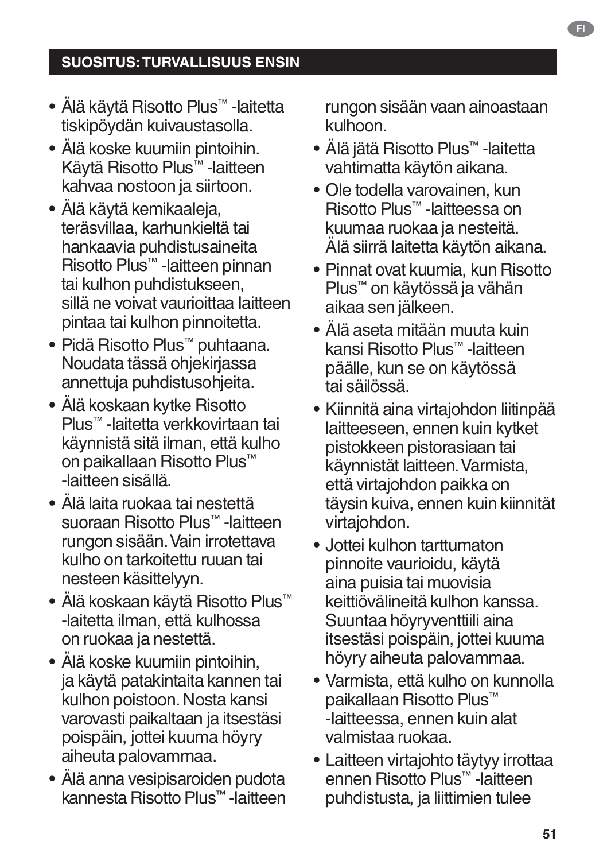- Älä käytä Risotto Plus™ -laitetta tiskipöydän kuivaustasolla.
- Älä koske kuumiin pintoihin. Käytä Risotto Plus™ -laitteen kahvaa nostoon ja siirtoon.
- Älä käytä kemikaaleja, teräsvillaa, karhunkieltä tai hankaavia puhdistusaineita Risotto Plus™ -laitteen pinnan tai kulhon puhdistukseen, sillä ne voivat vaurioittaa laitteen pintaa tai kulhon pinnoitetta.
- Pidä Risotto Plus™ puhtaana. Noudata tässä ohjekirjassa annettuja puhdistusohjeita.
- Älä koskaan kytke Risotto Plus™ -laitetta verkkovirtaan tai käynnistä sitä ilman, että kulho on paikallaan Risotto Plus™ -laitteen sisällä.
- Älä laita ruokaa tai nestettä suoraan Risotto Plus™ -laitteen rungon sisään. Vain irrotettava kulho on tarkoitettu ruuan tai nesteen käsittelyyn.
- Älä koskaan käytä Risotto Plus™ -laitetta ilman, että kulhossa on ruokaa ja nestettä.
- Älä koske kuumiin pintoihin, ja käytä patakintaita kannen tai kulhon poistoon. Nosta kansi varovasti paikaltaan ja itsestäsi poispäin, jottei kuuma höyry aiheuta palovammaa.
- Älä anna vesipisaroiden pudota kannesta Risotto Plus™ -laitteen

rungon sisään vaan ainoastaan kulhoon.

- Älä jätä Risotto Plus™ -laitetta vahtimatta käytön aikana.
- Ole todella varovainen, kun Risotto Plus™ -laitteessa on kuumaa ruokaa ja nesteitä. Älä siirrä laitetta käytön aikana.
- Pinnat ovat kuumia, kun Risotto Plus™ on käytössä ja vähän aikaa sen jälkeen.
- Älä aseta mitään muuta kuin kansi Risotto Plus™ -laitteen päälle, kun se on käytössä tai säilössä.
- Kiinnitä aina virtajohdon liitinpää laitteeseen, ennen kuin kytket pistokkeen pistorasiaan tai käynnistät laitteen. Varmista, että virtajohdon paikka on täysin kuiva, ennen kuin kiinnität virtajohdon.
- Jottei kulhon tarttumaton pinnoite vaurioidu, käytä aina puisia tai muovisia keittiövälineitä kulhon kanssa. Suuntaa höyryventtiili aina itsestäsi poispäin, jottei kuuma höyry aiheuta palovammaa.
- Varmista, että kulho on kunnolla paikallaan Risotto Plus™ -laitteessa, ennen kuin alat valmistaa ruokaa.
- Laitteen virtajohto täytyy irrottaa ennen Risotto Plus™ -laitteen puhdistusta, ja liittimien tulee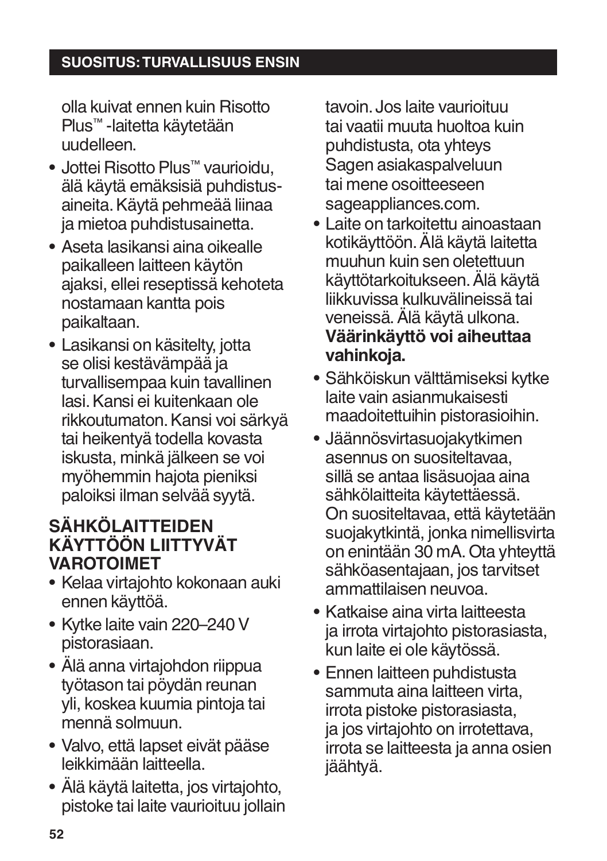## **SUOSITUS: TURVALLISUUS ENSIN**

olla kuivat ennen kuin Risotto Plus™ -laitetta käytetään uudelleen.

- Jottei Risotto Plus™ vaurioidu, älä käytä emäksisiä puhdistusaineita. Käytä pehmeää liinaa ja mietoa puhdistusainetta.
- Aseta lasikansi aina oikealle paikalleen laitteen käytön ajaksi, ellei reseptissä kehoteta nostamaan kantta pois paikaltaan.
- Lasikansi on käsitelty, jotta se olisi kestävämpää ja turvallisempaa kuin tavallinen lasi. Kansi ei kuitenkaan ole rikkoutumaton. Kansi voi särkyä tai heikentyä todella kovasta iskusta, minkä jälkeen se voi myöhemmin hajota pieniksi paloiksi ilman selvää syytä.

# **SÄHKÖLAITTEIDEN KÄYTTÖÖN LIITTYVÄT VAROTOIMET**

- Kelaa virtajohto kokonaan auki ennen käyttöä.
- Kytke laite vain 220–240 V pistorasiaan.
- Älä anna virtajohdon riippua työtason tai pöydän reunan yli, koskea kuumia pintoja tai mennä solmuun.
- Valvo, että lapset eivät pääse leikkimään laitteella.
- Älä käytä laitetta, jos virtajohto, pistoke tai laite vaurioituu jollain

tavoin. Jos laite vaurioituu tai vaatii muuta huoltoa kuin puhdistusta, ota yhteys Sagen asiakaspalveluun tai mene osoitteeseen sageappliances.com.

- Laite on tarkoitettu ainoastaan kotikäyttöön. Älä käytä laitetta muuhun kuin sen oletettuun käyttötarkoitukseen. Älä käytä liikkuvissa kulkuvälineissä tai veneissä. Älä käytä ulkona. **Väärinkäyttö voi aiheuttaa vahinkoja.**
- Sähköiskun välttämiseksi kytke laite vain asianmukaisesti maadoitettuihin pistorasioihin.
- Jäännösvirtasuojakytkimen asennus on suositeltavaa, sillä se antaa lisäsuojaa aina sähkölaitteita käytettäessä. On suositeltavaa, että käytetään suojakytkintä, jonka nimellisvirta on enintään 30 mA. Ota yhteyttä sähköasentajaan, jos tarvitset ammattilaisen neuvoa.
- Katkaise aina virta laitteesta ja irrota virtajohto pistorasiasta, kun laite ei ole käytössä.
- Ennen laitteen puhdistusta sammuta aina laitteen virta, irrota pistoke pistorasiasta, ja jos virtajohto on irrotettava, irrota se laitteesta ja anna osien jäähtyä.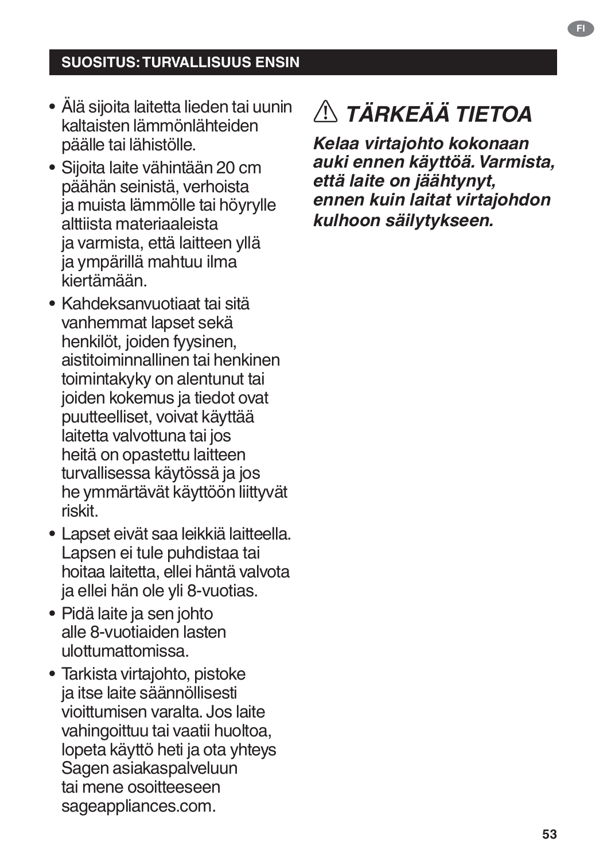### **SUOSITUS: TURVALLISUUS ENSIN**

- Älä sijoita laitetta lieden tai uunin kaltaisten lämmönlähteiden päälle tai lähistölle.
- Sijoita laite vähintään 20 cm päähän seinistä, verhoista ja muista lämmölle tai höyrylle alttiista materiaaleista ja varmista, että laitteen yllä ja ympärillä mahtuu ilma kiertämään.
- Kahdeksanvuotiaat tai sitä vanhemmat lapset sekä henkilöt, joiden fyysinen, aistitoiminnallinen tai henkinen toimintakyky on alentunut tai joiden kokemus ja tiedot ovat puutteelliset, voivat käyttää laitetta valvottuna tai jos heitä on opastettu laitteen turvallisessa käytössä ja jos he ymmärtävät käyttöön liittyvät riskit.
- Lapset eivät saa leikkiä laitteella. Lapsen ei tule puhdistaa tai hoitaa laitetta, ellei häntä valvota ja ellei hän ole yli 8-vuotias.
- Pidä laite ja sen johto alle 8-vuotiaiden lasten ulottumattomissa.
- Tarkista virtajohto, pistoke ja itse laite säännöllisesti vioittumisen varalta. Jos laite vahingoittuu tai vaatii huoltoa, lopeta käyttö heti ja ota yhteys Sagen asiakaspalveluun tai mene osoitteeseen sageappliances.com.

# *TÄRKEÄÄ TIETOA*

*Kelaa virtajohto kokonaan auki ennen käyttöä. Varmista, että laite on jäähtynyt, ennen kuin laitat virtajohdon kulhoon säilytykseen.*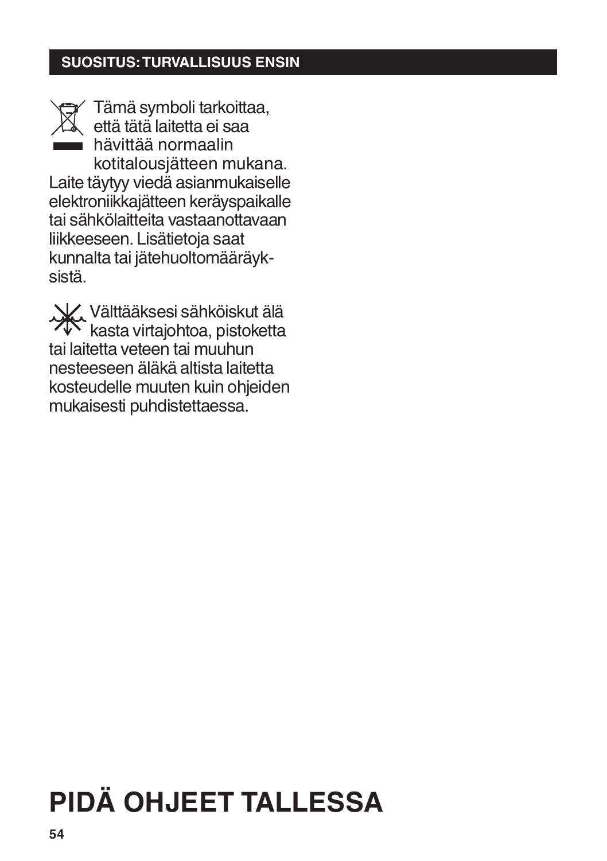### **SUOSITUS: TURVALLISUUS ENSIN**



sistä.

Tämä symboli tarkoittaa, että tätä laitetta ei saa hävittää normaalin kotitalousjätteen mukana. Laite täytyy viedä asianmukaiselle elektroniikkajätteen keräyspaikalle tai sähkölaitteita vastaanottavaan liikkeeseen. Lisätietoja saat kunnalta tai jätehuoltomääräyk-

Välttääksesi sähköiskut älä kasta virtajohtoa, pistoketta tai laitetta veteen tai muuhun nesteeseen äläkä altista laitetta kosteudelle muuten kuin ohjeiden mukaisesti puhdistettaessa.

# **PIDÄ OHJEET TALLESSA**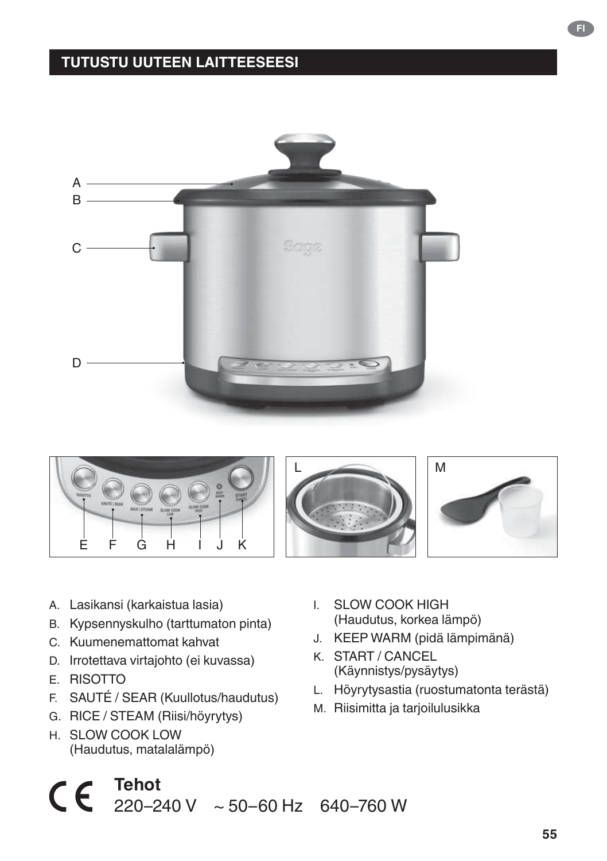### **TUTUSTU UUTEEN LAITTEESEESI**





- A. Lasikansi (karkaistua lasia)
- B. Kypsennyskulho (tarttumaton pinta)
- C. Kuumenemattomat kahvat
- D. Irrotettava virtajohto (ei kuvassa)
- E. RISOTTO
- F. SAUTÉ / SEAR (Kuullotus/haudutus)
- G. RICE / STEAM (Riisi/höyrytys)
- H. SLOW COOK LOW (Haudutus, matalalämpö)
- I. SLOW COOK HIGH (Haudutus, korkea lämpö)
- J. KEEP WARM (pidä lämpimänä)
- K. START / CANCEL (Käynnistys/pysäytys)
- L. Höyrytysastia (ruostumatonta terästä)
- M. Riisimitta ja tarjoilulusikka

 $\mathsf{C} \in \mathsf{F}^{\mathsf{Tehot}}$ 220–240 V ~ 50–60 Hz 640–760 W

**55**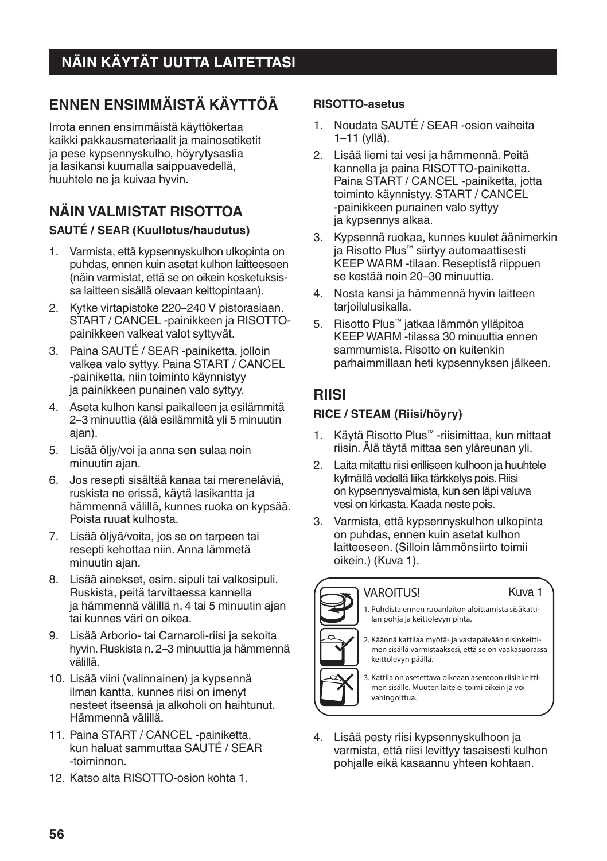# **NÄIN KÄYTÄT UUTTA LAITETTASI**

# **ENNEN ENSIMMÄISTÄ KÄYTTÖÄ**

Irrota ennen ensimmäistä käyttökertaa kaikki pakkausmateriaalit ja mainosetiketit ja pese kypsennyskulho, höyrytysastia ja lasikansi kuumalla saippuavedellä, huuhtele ne ja kuivaa hyvin.

#### **NÄIN VALMISTAT RISOTTOA SAUTÉ / SEAR (Kuullotus/haudutus)**

- 1. Varmista, että kypsennyskulhon ulkopinta on puhdas, ennen kuin asetat kulhon laitteeseen (näin varmistat, että se on oikein kosketuksissa laitteen sisällä olevaan keittopintaan).
- 2. Kytke virtapistoke 220–240 V pistorasiaan. START / CANCEL -painikkeen ja RISOTTOpainikkeen valkeat valot syttyvät.
- 3. Paina SAUTÉ / SEAR -painiketta, jolloin valkea valo syttyy. Paina START / CANCEL -painiketta, niin toiminto käynnistyy ja painikkeen punainen valo syttyy.
- 4. Aseta kulhon kansi paikalleen ja esilämmitä 2–3 minuuttia (älä esilämmitä yli 5 minuutin ajan).
- 5. Lisää öljy/voi ja anna sen sulaa noin minuutin ajan.
- 6. Jos resepti sisältää kanaa tai mereneläviä, ruskista ne erissä, käytä lasikantta ja hämmennä välillä, kunnes ruoka on kypsää. Poista ruuat kulhosta.
- 7. Lisää öljyä/voita, jos se on tarpeen tai resepti kehottaa niin. Anna lämmetä minuutin ajan.
- 8. Lisää ainekset, esim. sipuli tai valkosipuli. Ruskista, peitä tarvittaessa kannella ja hämmennä välillä n. 4 tai 5 minuutin ajan tai kunnes väri on oikea.
- 9. Lisää Arborio- tai Carnaroli-riisi ja sekoita hyvin. Ruskista n. 2–3 minuuttia ja hämmennä välillä.
- 10. Lisää viini (valinnainen) ja kypsennä ilman kantta, kunnes riisi on imenyt nesteet itseensä ja alkoholi on haihtunut. Hämmennä välillä.
- 11. Paina START / CANCEL -painiketta, kun haluat sammuttaa SAUTÉ / SEAR -toiminnon.
- 12. Katso alta RISOTTO-osion kohta 1.

#### **RISOTTO-asetus**

- 1. Noudata SAUTÉ / SEAR -osion vaiheita 1–11 (yllä).
- 2. Lisää liemi tai vesi ja hämmennä. Peitä kannella ja paina RISOTTO-painiketta. Paina START / CANCEL -painiketta, jotta toiminto käynnistyy. START / CANCEL -painikkeen punainen valo syttyy ja kypsennys alkaa.
- 3. Kypsennä ruokaa, kunnes kuulet äänimerkin ja Risotto Plus™ siirtyy automaattisesti KEEP WARM -tilaan. Reseptistä riippuen se kestää noin 20–30 minuuttia.
- 4. Nosta kansi ja hämmennä hyvin laitteen tarioilulusikalla.
- 5. Risotto Plus™ jatkaa lämmön ylläpitoa KEEP WARM -tilassa 30 minuuttia ennen sammumista. Risotto on kuitenkin parhaimmillaan heti kypsennyksen jälkeen.

#### **RIISI**

#### **RICE / STEAM (Riisi/höyry)**

- 1. Käytä Risotto Plus™ -riisimittaa, kun mittaat riisin. Älä täytä mittaa sen yläreunan yli.
- 2. Laita mitattu riisi erilliseen kulhoon ja huuhtele kylmällä vedellä liika tärkkelys pois. Riisi on kypsennysvalmista, kun sen läpi valuva vesi on kirkasta. Kaada neste pois.
- 3. Varmista, että kypsennyskulhon ulkopinta on puhdas, ennen kuin asetat kulhon laitteeseen. (Silloin lämmönsiirto toimii oikein.) (Kuva 1).



#### **VAROITUS!**

1. Puhdista ennen ruoanlaiton aloittamista sisäkattilan pohja ja keittolevyn pinta.

Kuva 1

2. Käännä kattilaa myötä- ja vastapäivään riisinkeittimen sisällä varmistaaksesi, että se on vaakasuorassa keittolevyn päällä.

3. Kattila on asetettava oikeaan asentoon riisinkeittimen sisälle. Muuten laite ei toimi oikein ja voi vahingoittua.

4. Lisää pesty riisi kypsennyskulhoon ja varmista, että riisi levittyy tasaisesti kulhon pohjalle eikä kasaannu yhteen kohtaan.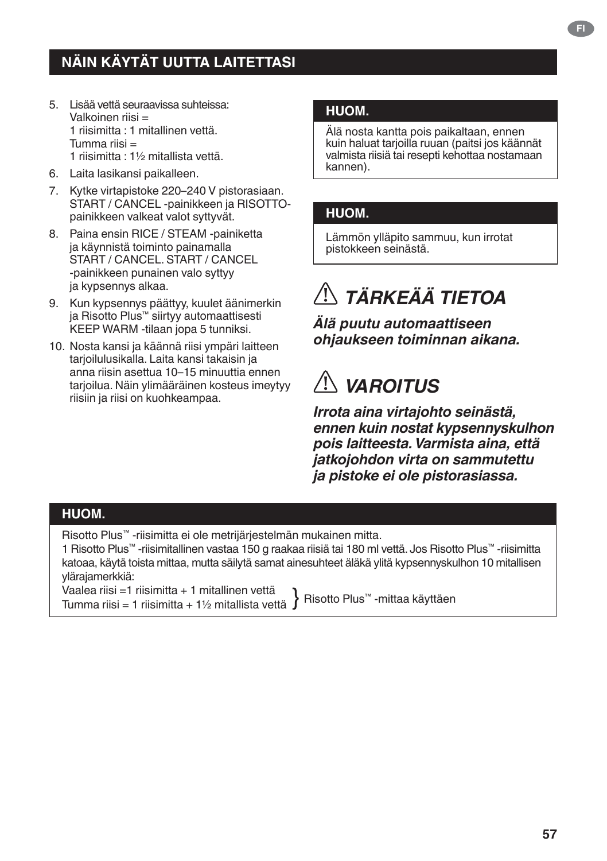- 5. Lisää vettä seuraavissa suhteissa: Valkoinen riisi = 1 riisimitta : 1 mitallinen vettä. Tumma riisi = 1 riisimitta : 1½ mitallista vettä.
- 6. Laita lasikansi paikalleen.
- 7. Kytke virtapistoke 220–240 V pistorasiaan. START / CANCEL -painikkeen ja RISOTTOpainikkeen valkeat valot syttyvät.
- 8. Paina ensin RICE / STEAM -painiketta ja käynnistä toiminto painamalla START / CANCEL. START / CANCEL -painikkeen punainen valo syttyy ja kypsennys alkaa.
- 9. Kun kypsennys päättyy, kuulet äänimerkin ja Risotto Plus™ siirtyy automaattisesti KEEP WARM -tilaan jopa 5 tunniksi.
- 10. Nosta kansi ja käännä riisi ympäri laitteen tarioilulusikalla. Laita kansi takaisin ja anna riisin asettua 10–15 minuuttia ennen tarioilua. Näin ylimääräinen kosteus imeytyy riisiin ja riisi on kuohkeampaa.

#### **HUOM.**

Älä nosta kantta pois paikaltaan, ennen kuin haluat tarjoilla ruuan (paitsi jos käännät valmista riisiä tai resepti kehottaa nostamaan kannen).

#### **HUOM.**

Lämmön ylläpito sammuu, kun irrotat pistokkeen seinästä.

# *TÄRKEÄÄ TIETOA*

*Älä puutu automaattiseen ohjaukseen toiminnan aikana.*

# *VAROITUS*

*Irrota aina virtajohto seinästä, ennen kuin nostat kypsennyskulhon pois laitteesta. Varmista aina, että jatkojohdon virta on sammutettu ja pistoke ei ole pistorasiassa.*

#### **HUOM.**

Risotto Plus™ -riisimitta ei ole metrijärjestelmän mukainen mitta.

1 Risotto Plus™ -riisimitallinen vastaa 150 g raakaa riisiä tai 180 ml vettä. Jos Risotto Plus™ -riisimitta katoaa, käytä toista mittaa, mutta säilytä samat ainesuhteet äläkä ylitä kypsennyskulhon 10 mitallisen ylärajamerkkiä:

Vaalea riisi =1 riisimitta + 1 mitallinen vettä vaalea nisi = 1 riisimitta + 1 mitallinen vettä } Risotto Plus™ -mittaa käyttäen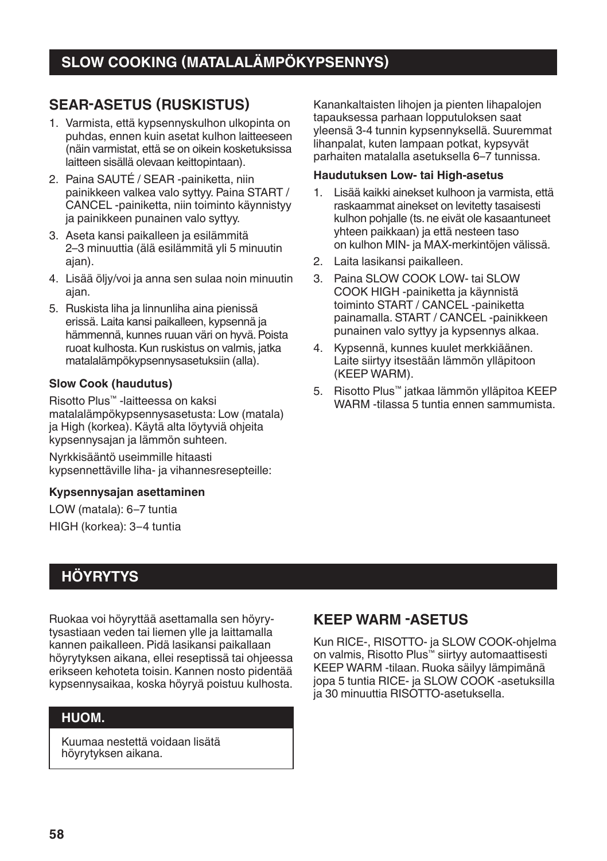### **SEAR-ASETUS (RUSKISTUS)**

- 1. Varmista, että kypsennyskulhon ulkopinta on puhdas, ennen kuin asetat kulhon laitteeseen (näin varmistat, että se on oikein kosketuksissa laitteen sisällä olevaan keittopintaan).
- 2. Paina SAUTÉ / SEAR -painiketta, niin painikkeen valkea valo syttyy. Paina START / CANCEL -painiketta, niin toiminto käynnistyy ja painikkeen punainen valo syttyy.
- 3. Aseta kansi paikalleen ja esilämmitä 2–3 minuuttia (älä esilämmitä yli 5 minuutin ajan).
- 4. Lisää öljy/voi ja anna sen sulaa noin minuutin ajan.
- 5. Ruskista liha ja linnunliha aina pienissä erissä. Laita kansi paikalleen, kypsennä ja hämmennä, kunnes ruuan väri on hyvä. Poista ruoat kulhosta. Kun ruskistus on valmis, jatka matalalämpökypsennysasetuksiin (alla).

#### **Slow Cook (haudutus)**

Risotto Plus™ -laitteessa on kaksi matalalämpökypsennysasetusta: Low (matala) ja High (korkea). Käytä alta löytyviä ohjeita kypsennysajan ja lämmön suhteen.

Nyrkkisääntö useimmille hitaasti kypsennettäville liha- ja vihannesresepteille:

#### **Kypsennysajan asettaminen**

LOW (matala): 6–7 tuntia HIGH (korkea): 3–4 tuntia

# **HÖYRYTYS**

Ruokaa voi höyryttää asettamalla sen höyrytysastiaan veden tai liemen ylle ja laittamalla kannen paikalleen. Pidä lasikansi paikallaan höyrytyksen aikana, ellei reseptissä tai ohjeessa erikseen kehoteta toisin. Kannen nosto pidentää kypsennysaikaa, koska höyryä poistuu kulhosta.

#### **HUOM.**

Kuumaa nestettä voidaan lisätä höyrytyksen aikana.

Kanankaltaisten lihojen ja pienten lihapalojen tapauksessa parhaan lopputuloksen saat yleensä 3-4 tunnin kypsennyksellä. Suuremmat lihanpalat, kuten lampaan potkat, kypsyvät parhaiten matalalla asetuksella 6–7 tunnissa.

#### **Haudutuksen Low- tai High-asetus**

- 1. Lisää kaikki ainekset kulhoon ja varmista, että raskaammat ainekset on levitetty tasaisesti kulhon pohjalle (ts. ne eivät ole kasaantuneet yhteen paikkaan) ja että nesteen taso on kulhon MIN- ja MAX-merkintöjen välissä.
- 2. Laita lasikansi paikalleen.
- 3 Paina SLOW COOK LOW- tai SLOW COOK HIGH -painiketta ja käynnistä toiminto START / CANCEL -painiketta painamalla. START / CANCEL -painikkeen punainen valo syttyy ja kypsennys alkaa.
- 4. Kypsennä, kunnes kuulet merkkiäänen. Laite siirtyy itsestään lämmön ylläpitoon (KEEP WARM).
- 5. Risotto Plus™ jatkaa lämmön ylläpitoa KEEP WARM -tilassa 5 tuntia ennen sammumista.

#### **KEEP WARM -ASETUS**

Kun RICE-, RISOTTO- ja SLOW COOK-ohjelma on valmis, Risotto Plus™ siirtyy automaattisesti KEEP WARM -tilaan. Ruoka säilyy lämpimänä jopa 5 tuntia RICE- ja SLOW COOK -asetuksilla ia 30 minuuttia RISOTTO-asetuksella.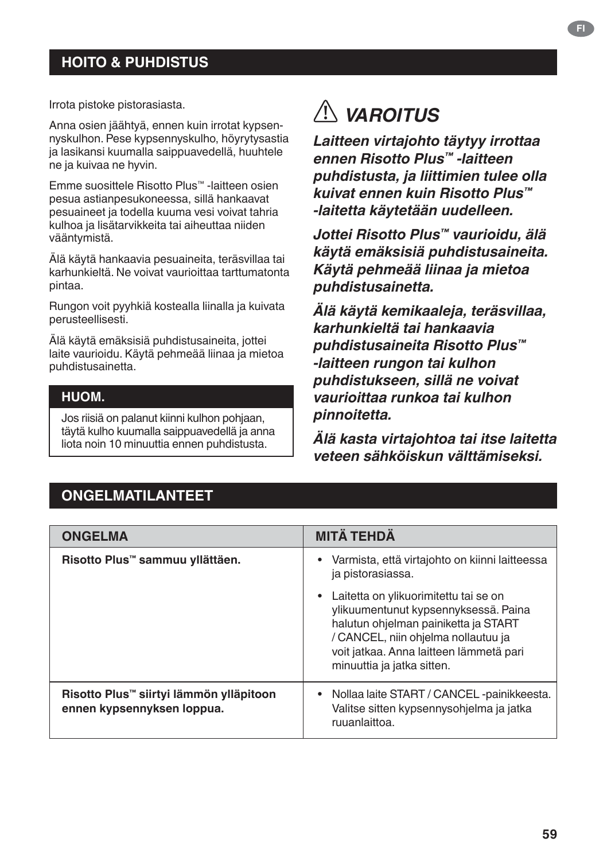### **HOITO & PUHDISTUS**

Irrota pistoke pistorasiasta.

Anna osien jäähtyä, ennen kuin irrotat kypsennyskulhon. Pese kypsennyskulho, höyrytysastia ja lasikansi kuumalla saippuavedellä, huuhtele ne ja kuivaa ne hyvin.

Emme suosittele Risotto Plus™ -laitteen osien pesua astianpesukoneessa, sillä hankaavat pesuaineet ja todella kuuma vesi voivat tahria kulhoa ja lisätarvikkeita tai aiheuttaa niiden vääntymistä.

Älä käytä hankaavia pesuaineita, teräsvillaa tai karhunkieltä. Ne voivat vaurioittaa tarttumatonta pintaa.

Rungon voit pyyhkiä kostealla liinalla ja kuivata perusteellisesti.

Älä käytä emäksisiä puhdistusaineita, jottei laite vaurioidu. Käytä pehmeää liinaa ja mietoa puhdistusainetta.

#### **HUOM.**

Jos riisiä on palanut kiinni kulhon pohjaan, täytä kulho kuumalla saippuavedellä ja anna liota noin 10 minuuttia ennen puhdistusta.

# *VAROITUS*

*Laitteen virtajohto täytyy irrottaa ennen Risotto Plus™ -laitteen puhdistusta, ja liittimien tulee olla kuivat ennen kuin Risotto Plus™ -laitetta käytetään uudelleen.*

*Jottei Risotto Plus™ vaurioidu, älä käytä emäksisiä puhdistusaineita. Käytä pehmeää liinaa ja mietoa puhdistusainetta.*

*Älä käytä kemikaaleja, teräsvillaa, karhunkieltä tai hankaavia puhdistusaineita Risotto Plus™ -laitteen rungon tai kulhon puhdistukseen, sillä ne voivat vaurioittaa runkoa tai kulhon pinnoitetta.*

*Älä kasta virtajohtoa tai itse laitetta veteen sähköiskun välttämiseksi.*

#### **ONGELMATILANTEET**

| <b>ONGELMA</b>                                                        | <b>MITÄ TEHDÄ</b>                                                                                                                                                                                                                     |
|-----------------------------------------------------------------------|---------------------------------------------------------------------------------------------------------------------------------------------------------------------------------------------------------------------------------------|
| Risotto Plus™ sammuu yllättäen.                                       | Varmista, että virtajohto on kiinni laitteessa<br>٠<br>ja pistorasiassa.                                                                                                                                                              |
|                                                                       | Laitetta on ylikuorimitettu tai se on<br>ylikuumentunut kypsennyksessä. Paina<br>halutun ohjelman painiketta ja START<br>/ CANCEL, niin ohjelma nollautuu ja<br>voit jatkaa. Anna laitteen lämmetä pari<br>minuuttia ja jatka sitten. |
| Risotto Plus™ siirtyi lämmön ylläpitoon<br>ennen kypsennyksen loppua. | • Nollaa laite START / CANCEL -painikkeesta.<br>Valitse sitten kypsennysohjelma ja jatka<br>ruuanlaittoa.                                                                                                                             |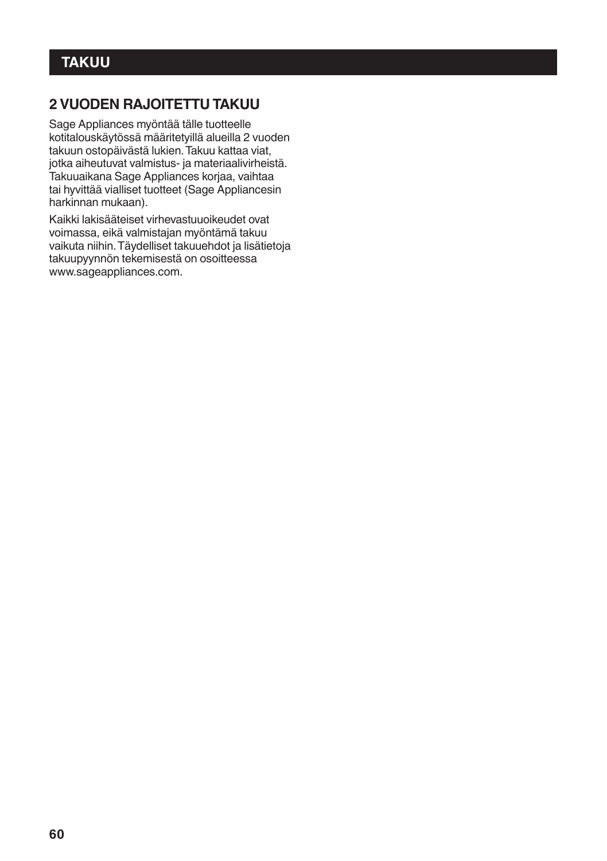### **2 VUODEN RAJOITETTU TAKUU**

Sage Appliances myöntää tälle tuotteelle kotitalouskäytössä määritetyillä alueilla 2 vuoden takuun ostopäivästä lukien. Takuu kattaa viat, jotka aiheutuvat valmistus- ja materiaalivirheistä. Takuuaikana Sage Appliances korjaa, vaihtaa tai hyvittää vialliset tuotteet (Sage Appliancesin harkinnan mukaan).

Kaikki lakisääteiset virhevastuuoikeudet ovat voimassa, eikä valmistajan myöntämä takuu vaikuta niihin. Täydelliset takuuehdot ja lisätietoja takuupyynnön tekemisestä on osoitteessa www.sageappliances.com.